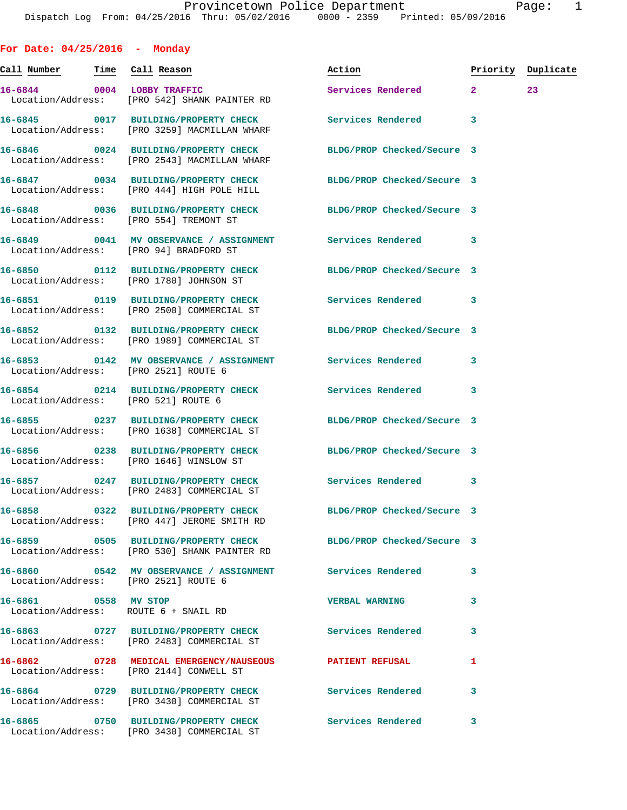**For Date: 04/25/2016 - Monday Call Number Time Call Reason Action Priority Duplicate 16-6844 0004 LOBBY TRAFFIC Services Rendered 2 23**  Location/Address: [PRO 542] SHANK PAINTER RD **16-6845 0017 BUILDING/PROPERTY CHECK Services Rendered 3**  Location/Address: [PRO 3259] MACMILLAN WHARF **16-6846 0024 BUILDING/PROPERTY CHECK BLDG/PROP Checked/Secure 3**  Location/Address: [PRO 2543] MACMILLAN WHARF **16-6847 0034 BUILDING/PROPERTY CHECK BLDG/PROP Checked/Secure 3**  Location/Address: [PRO 444] HIGH POLE HILL **16-6848 0036 BUILDING/PROPERTY CHECK BLDG/PROP Checked/Secure 3**  Location/Address: [PRO 554] TREMONT ST **16-6849 0041 MV OBSERVANCE / ASSIGNMENT Services Rendered 3**  Location/Address: [PRO 94] BRADFORD ST **16-6850 0112 BUILDING/PROPERTY CHECK BLDG/PROP Checked/Secure 3**  Location/Address: [PRO 1780] JOHNSON ST **16-6851 0119 BUILDING/PROPERTY CHECK Services Rendered 3**  Location/Address: [PRO 2500] COMMERCIAL ST **16-6852 0132 BUILDING/PROPERTY CHECK BLDG/PROP Checked/Secure 3**  Location/Address: [PRO 1989] COMMERCIAL ST **16-6853 0142 MV OBSERVANCE / ASSIGNMENT Services Rendered 3**  Location/Address: [PRO 2521] ROUTE 6 **16-6854 0214 BUILDING/PROPERTY CHECK Services Rendered 3**  Location/Address: [PRO 521] ROUTE 6 **16-6855 0237 BUILDING/PROPERTY CHECK BLDG/PROP Checked/Secure 3**  Location/Address: [PRO 1638] COMMERCIAL ST **16-6856 0238 BUILDING/PROPERTY CHECK BLDG/PROP Checked/Secure 3**  Location/Address: [PRO 1646] WINSLOW ST **16-6857 0247 BUILDING/PROPERTY CHECK Services Rendered 3**  Location/Address: [PRO 2483] COMMERCIAL ST **16-6858 0322 BUILDING/PROPERTY CHECK BLDG/PROP Checked/Secure 3**  Location/Address: [PRO 447] JEROME SMITH RD **16-6859 0505 BUILDING/PROPERTY CHECK BLDG/PROP Checked/Secure 3**  Location/Address: [PRO 530] SHANK PAINTER RD **16-6860 0542 MV OBSERVANCE / ASSIGNMENT Services Rendered 3**  Location/Address: [PRO 2521] ROUTE 6 **16-6861 0558 MV STOP VERBAL WARNING 3**  Location/Address: ROUTE 6 + SNAIL RD **16-6863 0727 BUILDING/PROPERTY CHECK Services Rendered 3**  Location/Address: [PRO 2483] COMMERCIAL ST **16-6862 0728 MEDICAL EMERGENCY/NAUSEOUS PATIENT REFUSAL 1**  Location/Address: [PRO 2144] CONWELL ST **16-6864 0729 BUILDING/PROPERTY CHECK Services Rendered 3** 

Location/Address: [PRO 3430] COMMERCIAL ST

Location/Address: [PRO 3430] COMMERCIAL ST

**16-6865 0750 BUILDING/PROPERTY CHECK Services Rendered 3**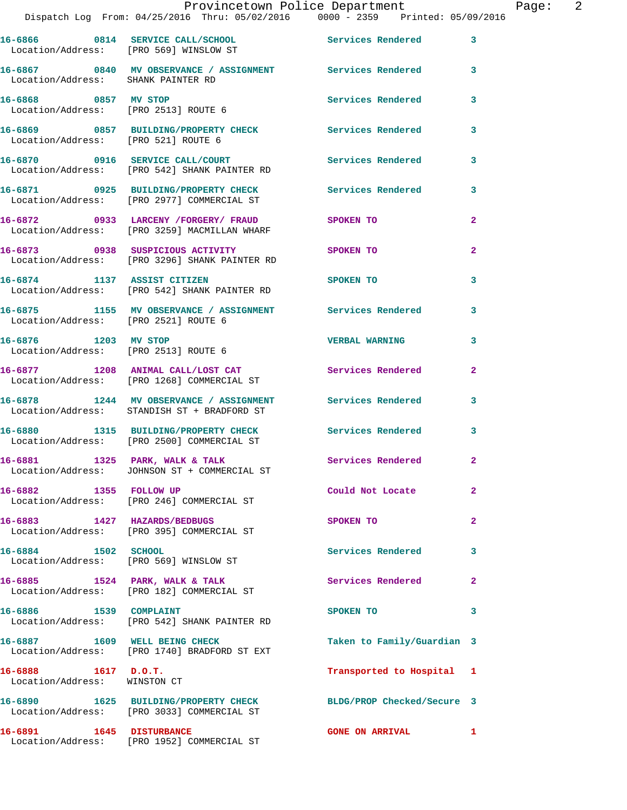|                                                       | Provincetown Police Department<br>Dispatch Log From: 04/25/2016 Thru: 05/02/2016 0000 - 2359 Printed: 05/09/2016 |                            | Page: 2        |
|-------------------------------------------------------|------------------------------------------------------------------------------------------------------------------|----------------------------|----------------|
|                                                       | 16-6866 0814 SERVICE CALL/SCHOOL Services Rendered<br>Location/Address: [PRO 569] WINSLOW ST                     |                            | 3              |
| Location/Address: SHANK PAINTER RD                    | 16-6867 0840 MV OBSERVANCE / ASSIGNMENT Services Rendered 3                                                      |                            |                |
|                                                       | 16-6868 0857 MV STOP<br>Location/Address: [PRO 2513] ROUTE 6                                                     | Services Rendered          | 3              |
|                                                       | 16-6869 0857 BUILDING/PROPERTY CHECK Services Rendered<br>Location/Address: [PRO 521] ROUTE 6                    |                            | 3              |
|                                                       | 16-6870 0916 SERVICE CALL/COURT<br>Location/Address: [PRO 542] SHANK PAINTER RD                                  | Services Rendered          | 3              |
|                                                       | 16-6871 0925 BUILDING/PROPERTY CHECK Services Rendered<br>Location/Address: [PRO 2977] COMMERCIAL ST             |                            | 3              |
|                                                       | 16-6872 0933 LARCENY / FORGERY / FRAUD SPOKEN TO<br>Location/Address: [PRO 3259] MACMILLAN WHARF                 |                            | $\overline{a}$ |
|                                                       | 16-6873 0938 SUSPICIOUS ACTIVITY<br>Location/Address: [PRO 3296] SHANK PAINTER RD                                | SPOKEN TO                  | $\mathbf{2}$   |
|                                                       | 16-6874 1137 ASSIST CITIZEN<br>Location/Address: [PRO 542] SHANK PAINTER RD                                      | <b>SPOKEN TO</b>           | 3              |
| Location/Address: [PRO 2521] ROUTE 6                  | 16-6875 1155 MV OBSERVANCE / ASSIGNMENT Services Rendered                                                        |                            | 3              |
| 16-6876 1203 MV STOP                                  | Location/Address: [PRO 2513] ROUTE 6                                                                             | <b>VERBAL WARNING</b>      | 3              |
|                                                       | 16-6877 1208 ANIMAL CALL/LOST CAT Services Rendered<br>Location/Address: [PRO 1268] COMMERCIAL ST                |                            | $\mathbf{2}$   |
|                                                       | 16-6878 1244 MV OBSERVANCE / ASSIGNMENT Services Rendered 3<br>Location/Address: STANDISH ST + BRADFORD ST       |                            |                |
|                                                       | 16-6880 1315 BUILDING/PROPERTY CHECK Services Rendered 3<br>Location/Address: [PRO 2500] COMMERCIAL ST           |                            |                |
|                                                       | 16-6881 1325 PARK, WALK & TALK<br>Location/Address: JOHNSON ST + COMMERCIAL ST                                   | <b>Services Rendered</b>   |                |
| 16-6882 1355 FOLLOW UP                                | Location/Address: [PRO 246] COMMERCIAL ST                                                                        | Could Not Locate           | $\overline{2}$ |
|                                                       | 16-6883 1427 HAZARDS/BEDBUGS<br>Location/Address: [PRO 395] COMMERCIAL ST                                        | SPOKEN TO                  | $\mathbf{2}$   |
| 16-6884 1502 SCHOOL                                   | Location/Address: [PRO 569] WINSLOW ST                                                                           | Services Rendered          | 3              |
|                                                       | 16-6885 1524 PARK, WALK & TALK<br>Location/Address: [PRO 182] COMMERCIAL ST                                      | Services Rendered          | $\overline{2}$ |
| 16-6886 1539 COMPLAINT                                | Location/Address: [PRO 542] SHANK PAINTER RD                                                                     | SPOKEN TO                  | 3              |
| 16-6887 1609 WELL BEING CHECK                         | Location/Address: [PRO 1740] BRADFORD ST EXT                                                                     | Taken to Family/Guardian 3 |                |
| $16-6888$ 1617 D.O.T.<br>Location/Address: WINSTON CT |                                                                                                                  | Transported to Hospital 1  |                |
|                                                       | 16-6890 1625 BUILDING/PROPERTY CHECK<br>Location/Address: [PRO 3033] COMMERCIAL ST                               | BLDG/PROP Checked/Secure 3 |                |
| 16-6891 1645 DISTURBANCE                              |                                                                                                                  | <b>GONE ON ARRIVAL</b>     | $\mathbf{1}$   |

Location/Address: [PRO 1952] COMMERCIAL ST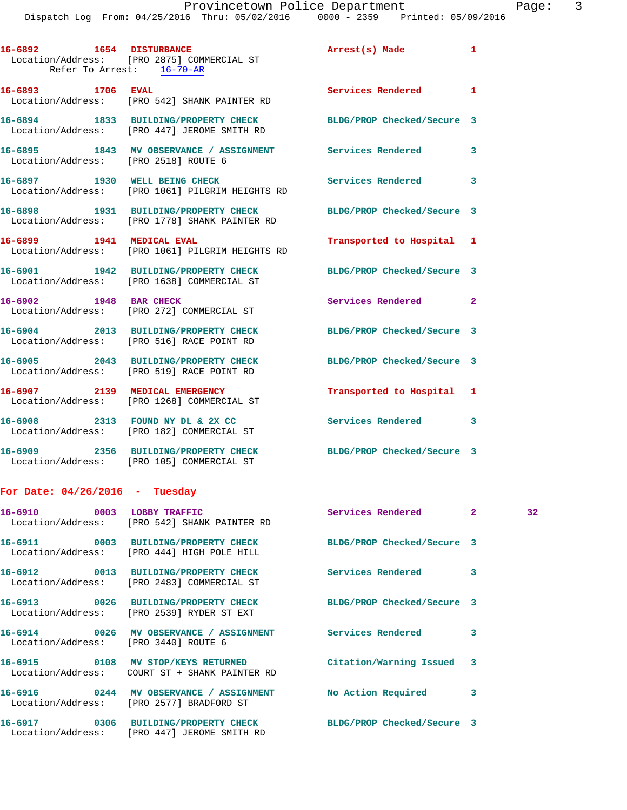Dispatch Log From: 04/25/2016 Thru: 05/02/2016 0000 - 2359 Printed: 05/09/2016

| 16-6892 1654 DISTURBANCE<br>Refer To Arrest: 16-70-AR | Location/Address: [PRO 2875] COMMERCIAL ST                                            | Arrest(s) Made             | $\mathbf{1}$ |
|-------------------------------------------------------|---------------------------------------------------------------------------------------|----------------------------|--------------|
| 16-6893 1706 EVAL                                     | Location/Address: [PRO 542] SHANK PAINTER RD                                          | Services Rendered 1        |              |
|                                                       | 16-6894 1833 BUILDING/PROPERTY CHECK<br>Location/Address: [PRO 447] JEROME SMITH RD   | BLDG/PROP Checked/Secure 3 |              |
| Location/Address: [PRO 2518] ROUTE 6                  | 16-6895 1843 MV OBSERVANCE / ASSIGNMENT Services Rendered 3                           |                            |              |
| 16-6897 1930 WELL BEING CHECK                         | Location/Address: [PRO 1061] PILGRIM HEIGHTS RD                                       | Services Rendered 3        |              |
|                                                       | 16-6898 1931 BUILDING/PROPERTY CHECK<br>Location/Address: [PRO 1778] SHANK PAINTER RD | BLDG/PROP Checked/Secure 3 |              |
| 16-6899 1941 MEDICAL EVAL                             | Location/Address: [PRO 1061] PILGRIM HEIGHTS RD                                       | Transported to Hospital 1  |              |
|                                                       | 16-6901 1942 BUILDING/PROPERTY CHECK<br>Location/Address: [PRO 1638] COMMERCIAL ST    | BLDG/PROP Checked/Secure 3 |              |
| 16-6902 1948 BAR CHECK                                | Location/Address: [PRO 272] COMMERCIAL ST                                             | Services Rendered 2        |              |
|                                                       | 16-6904 2013 BUILDING/PROPERTY CHECK<br>Location/Address: [PRO 516] RACE POINT RD     | BLDG/PROP Checked/Secure 3 |              |
|                                                       | 16-6905 2043 BUILDING/PROPERTY CHECK<br>Location/Address: [PRO 519] RACE POINT RD     | BLDG/PROP Checked/Secure 3 |              |
|                                                       | 16-6907 2139 MEDICAL EMERGENCY<br>Location/Address: [PRO 1268] COMMERCIAL ST          | Transported to Hospital 1  |              |
|                                                       | 16-6908 2313 FOUND NY DL & 2X CC<br>Location/Address: [PRO 182] COMMERCIAL ST         | Services Rendered 3        |              |
|                                                       | 16-6909 2356 BUILDING/PROPERTY CHECK<br>Location/Address: [PRO 105] COMMERCIAL ST     | BLDG/PROP Checked/Secure 3 |              |
| For Date: $04/26/2016$ - Tuesday                      |                                                                                       |                            |              |
| 16-6910 0003 LOBBY TRAFFIC                            |                                                                                       | Services Rendered          | -2           |

| 16-6910 0003 LOBBY TRAFFIC           | Location/Address: [PRO 542] SHANK PAINTER RD                                                                         | Services Rendered 2       |   | 32 <sub>2</sub> |
|--------------------------------------|----------------------------------------------------------------------------------------------------------------------|---------------------------|---|-----------------|
|                                      | 16-6911 0003 BUILDING/PROPERTY CHECK BLDG/PROP Checked/Secure 3<br>Location/Address: [PRO 444] HIGH POLE HILL        |                           |   |                 |
|                                      | Location/Address: [PRO 2483] COMMERCIAL ST                                                                           |                           | 3 |                 |
|                                      | 16-6913 0026 BUILDING/PROPERTY CHECK BLDG/PROP Checked/Secure 3<br>Location/Address: [PRO 2539] RYDER ST EXT         |                           |   |                 |
| Location/Address: [PRO 3440] ROUTE 6 |                                                                                                                      |                           | 3 |                 |
|                                      |                                                                                                                      | Citation/Warning Issued 3 |   |                 |
|                                      | 16-6916       0244   MV OBSERVANCE / ASSIGNMENT       No Action Required<br>Location/Address: [PRO 2577] BRADFORD ST |                           | 3 |                 |
|                                      | 16-6917 0306 BUILDING/PROPERTY CHECK BLDG/PROP Checked/Secure 3<br>Location/Address: [PRO 447] JEROME SMITH RD       |                           |   |                 |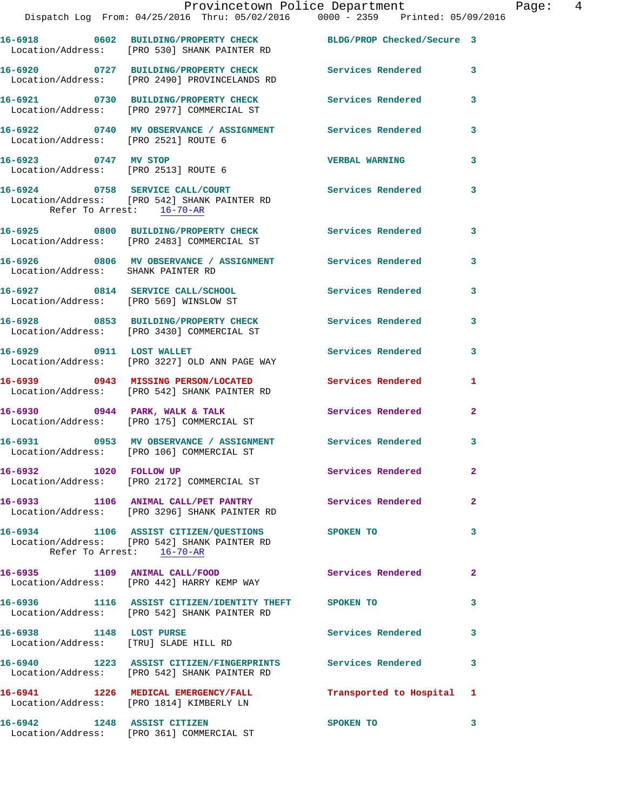|                                      | Provincetown Police Department<br>Dispatch Log From: 04/25/2016 Thru: 05/02/2016 0000 - 2359 Printed: 05/09/2016             |                          |                         |
|--------------------------------------|------------------------------------------------------------------------------------------------------------------------------|--------------------------|-------------------------|
|                                      | 16-6918 0602 BUILDING/PROPERTY CHECK BLDG/PROP Checked/Secure 3<br>Location/Address: [PRO 530] SHANK PAINTER RD              |                          |                         |
|                                      | 16-6920 0727 BUILDING/PROPERTY CHECK Services Rendered<br>Location/Address: [PRO 2490] PROVINCELANDS RD                      |                          | $\mathbf{3}$            |
|                                      | 16-6921 0730 BUILDING/PROPERTY CHECK<br>Location/Address: [PRO 2977] COMMERCIAL ST                                           | Services Rendered        | 3                       |
| Location/Address: [PRO 2521] ROUTE 6 | 16-6922 0740 MV OBSERVANCE / ASSIGNMENT Services Rendered                                                                    |                          | 3                       |
| 16-6923 0747 MV STOP                 | Location/Address: [PRO 2513] ROUTE 6                                                                                         | <b>VERBAL WARNING</b>    | 3                       |
| Refer To Arrest: 16-70-AR            | 16-6924 0758 SERVICE CALL/COURT<br>Location/Address: [PRO 542] SHANK PAINTER RD                                              | <b>Services Rendered</b> | 3                       |
|                                      | 16-6925 0800 BUILDING/PROPERTY CHECK Services Rendered<br>Location/Address: [PRO 2483] COMMERCIAL ST                         |                          | 3                       |
| Location/Address: SHANK PAINTER RD   | 16-6926 0806 MV OBSERVANCE / ASSIGNMENT Services Rendered                                                                    |                          | 3                       |
|                                      | 16-6927 0814 SERVICE CALL/SCHOOL<br>Location/Address: [PRO 569] WINSLOW ST                                                   | Services Rendered        | 3                       |
|                                      | 16-6928 0853 BUILDING/PROPERTY CHECK<br>Location/Address: [PRO 3430] COMMERCIAL ST                                           | Services Rendered        | 3                       |
| 16-6929 0911 LOST WALLET             | Location/Address: [PRO 3227] OLD ANN PAGE WAY                                                                                | Services Rendered        | 3                       |
|                                      | 16-6939 0943 MISSING PERSON/LOCATED<br>Location/Address: [PRO 542] SHANK PAINTER RD                                          | Services Rendered        | 1                       |
|                                      | 16-6930 0944 PARK, WALK & TALK<br>Location/Address: [PRO 175] COMMERCIAL ST                                                  | <b>Services Rendered</b> | $\mathbf{2}$            |
|                                      | 16-6931 0953 MV OBSERVANCE / ASSIGNMENT Services Rendered<br>Location/Address: [PRO 106] COMMERCIAL ST                       |                          | 3                       |
| 16-6932 1020 FOLLOW UP               | Location/Address: [PRO 2172] COMMERCIAL ST                                                                                   | <b>Services Rendered</b> | $\mathbf{2}$            |
|                                      | 16-6933 1106 ANIMAL CALL/PET PANTRY Services Rendered<br>Location/Address: [PRO 3296] SHANK PAINTER RD                       |                          | $\mathbf{2}$            |
|                                      | 16-6934 1106 ASSIST CITIZEN/QUESTIONS SPOKEN TO<br>Location/Address: [PRO 542] SHANK PAINTER RD<br>Refer To Arrest: 16-70-AR |                          | $\overline{\mathbf{3}}$ |
|                                      | 16-6935 1109 ANIMAL CALL/FOOD<br>Location/Address: [PRO 442] HARRY KEMP WAY                                                  | Services Rendered        | $\mathbf{2}$            |
|                                      | 16-6936 1116 ASSIST CITIZEN/IDENTITY THEFT SPOKEN TO<br>Location/Address: [PRO 542] SHANK PAINTER RD                         |                          | 3                       |
| 16-6938 1148 LOST PURSE              | Location/Address: [TRU] SLADE HILL RD                                                                                        | Services Rendered        | 3                       |
|                                      | 16-6940 1223 ASSIST CITIZEN/FINGERPRINTS Services Rendered<br>Location/Address: [PRO 542] SHANK PAINTER RD                   |                          | 3                       |
|                                      | 16-6941 1226 MEDICAL EMERGENCY/FALL 1 Transported to Hospital 1<br>Location/Address: [PRO 1814] KIMBERLY LN                  |                          |                         |
| 16-6942 1248 ASSIST CITIZEN          |                                                                                                                              | SPOKEN TO                | 3                       |

Location/Address: [PRO 361] COMMERCIAL ST

Page: 4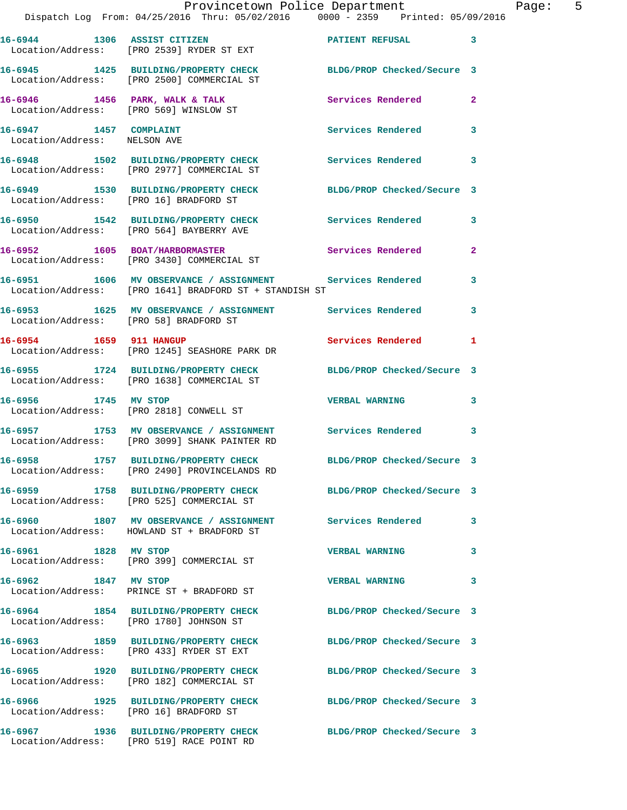|                                                        | Dispatch Log From: 04/25/2016 Thru: 05/02/2016   0000 - 2359   Printed: 05/09/2016                                    | Provincetown Police Department |   | Page: | $-5$ |
|--------------------------------------------------------|-----------------------------------------------------------------------------------------------------------------------|--------------------------------|---|-------|------|
|                                                        | 16-6944 1306 ASSIST CITIZEN 16-6944 23<br>Location/Address: [PRO 2539] RYDER ST EXT                                   |                                |   |       |      |
|                                                        | 16-6945 1425 BUILDING/PROPERTY CHECK BLDG/PROP Checked/Secure 3<br>Location/Address: [PRO 2500] COMMERCIAL ST         |                                |   |       |      |
|                                                        | 16-6946 1456 PARK, WALK & TALK 6 Services Rendered 2<br>Location/Address: [PRO 569] WINSLOW ST                        |                                |   |       |      |
| 16-6947 1457 COMPLAINT<br>Location/Address: NELSON AVE |                                                                                                                       | Services Rendered 3            |   |       |      |
|                                                        | 16-6948 1502 BUILDING/PROPERTY CHECK Services Rendered 3<br>Location/Address: [PRO 2977] COMMERCIAL ST                |                                |   |       |      |
|                                                        | 16-6949 1530 BUILDING/PROPERTY CHECK BLDG/PROP Checked/Secure 3<br>Location/Address: [PRO 16] BRADFORD ST             |                                |   |       |      |
|                                                        | 16-6950 1542 BUILDING/PROPERTY CHECK Services Rendered 3<br>Location/Address: [PRO 564] BAYBERRY AVE                  |                                |   |       |      |
|                                                        | 16-6952 1605 BOAT/HARBORMASTER Services Rendered 2<br>Location/Address: [PRO 3430] COMMERCIAL ST                      |                                |   |       |      |
|                                                        | 16-6951 1606 MV OBSERVANCE / ASSIGNMENT Services Rendered 3<br>Location/Address: [PRO 1641] BRADFORD ST + STANDISH ST |                                |   |       |      |
|                                                        | 16-6953 1625 MV OBSERVANCE / ASSIGNMENT Services Rendered 3<br>Location/Address: [PRO 58] BRADFORD ST                 |                                |   |       |      |
|                                                        | 16-6954 1659 911 HANGUP<br>Location/Address: [PRO 1245] SEASHORE PARK DR                                              | Services Rendered 1            |   |       |      |
|                                                        | 16-6955 1724 BUILDING/PROPERTY CHECK<br>Location/Address: [PRO 1638] COMMERCIAL ST                                    | BLDG/PROP Checked/Secure 3     |   |       |      |
| 16-6956 1745 MV STOP                                   | Location/Address: [PRO 2818] CONWELL ST                                                                               | VERBAL WARNING 3               |   |       |      |
|                                                        | 16-6957 1753 MV OBSERVANCE / ASSIGNMENT Services Rendered 3<br>Location/Address: [PRO 3099] SHANK PAINTER RD          |                                |   |       |      |
| 16-6958                                                | 1757 BUILDING/PROPERTY CHECK<br>Location/Address: [PRO 2490] PROVINCELANDS RD                                         | BLDG/PROP Checked/Secure 3     |   |       |      |
|                                                        | 16-6959 1758 BUILDING/PROPERTY CHECK<br>Location/Address: [PRO 525] COMMERCIAL ST                                     | BLDG/PROP Checked/Secure 3     |   |       |      |
|                                                        | 16-6960 1807 MV OBSERVANCE / ASSIGNMENT Services Rendered<br>Location/Address: HOWLAND ST + BRADFORD ST               |                                | 3 |       |      |
| 16-6961 1828 MV STOP                                   | Location/Address: [PRO 399] COMMERCIAL ST                                                                             | <b>VERBAL WARNING</b>          | 3 |       |      |
| 16-6962 1847 MV STOP                                   | Location/Address: PRINCE ST + BRADFORD ST                                                                             | <b>VERBAL WARNING</b>          | 3 |       |      |
|                                                        | 16-6964 1854 BUILDING/PROPERTY CHECK<br>Location/Address: [PRO 1780] JOHNSON ST                                       | BLDG/PROP Checked/Secure 3     |   |       |      |
|                                                        | 16-6963 1859 BUILDING/PROPERTY CHECK<br>Location/Address: [PRO 433] RYDER ST EXT                                      | BLDG/PROP Checked/Secure 3     |   |       |      |
|                                                        | 16-6965 1920 BUILDING/PROPERTY CHECK<br>Location/Address: [PRO 182] COMMERCIAL ST                                     | BLDG/PROP Checked/Secure 3     |   |       |      |
|                                                        | 16-6966 1925 BUILDING/PROPERTY CHECK BLDG/PROP Checked/Secure 3<br>Location/Address: [PRO 16] BRADFORD ST             |                                |   |       |      |
|                                                        | 16-6967 1936 BUILDING/PROPERTY CHECK<br>Location/Address: [PRO 519] RACE POINT RD                                     | BLDG/PROP Checked/Secure 3     |   |       |      |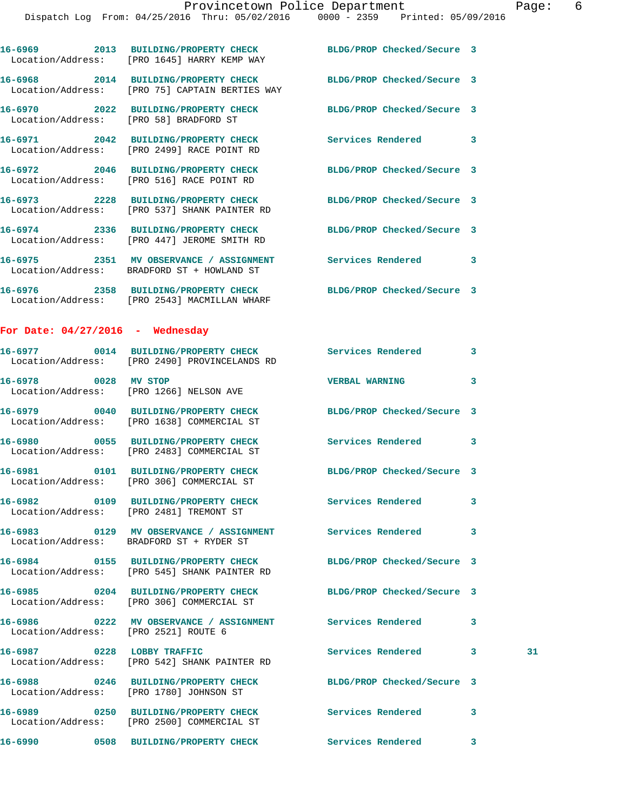|                                      | 16-6969 2013 BUILDING/PROPERTY CHECK<br>Location/Address: [PRO 1645] HARRY KEMP WAY                               | BLDG/PROP Checked/Secure 3 |   |    |
|--------------------------------------|-------------------------------------------------------------------------------------------------------------------|----------------------------|---|----|
|                                      | 16-6968 2014 BUILDING/PROPERTY CHECK BLDG/PROP Checked/Secure 3<br>Location/Address: [PRO 75] CAPTAIN BERTIES WAY |                            |   |    |
|                                      | 16-6970 2022 BUILDING/PROPERTY CHECK<br>Location/Address: [PRO 58] BRADFORD ST                                    | BLDG/PROP Checked/Secure 3 |   |    |
|                                      | 16-6971 2042 BUILDING/PROPERTY CHECK<br>Location/Address: [PRO 2499] RACE POINT RD                                | Services Rendered 3        |   |    |
|                                      | 16-6972 2046 BUILDING/PROPERTY CHECK<br>Location/Address: [PRO 516] RACE POINT RD                                 | BLDG/PROP Checked/Secure 3 |   |    |
|                                      | 16-6973 2228 BUILDING/PROPERTY CHECK<br>Location/Address: [PRO 537] SHANK PAINTER RD                              | BLDG/PROP Checked/Secure 3 |   |    |
|                                      | 16-6974 2336 BUILDING/PROPERTY CHECK<br>Location/Address: [PRO 447] JEROME SMITH RD                               | BLDG/PROP Checked/Secure 3 |   |    |
|                                      | 16-6975 2351 MV OBSERVANCE / ASSIGNMENT Services Rendered<br>Location/Address: BRADFORD ST + HOWLAND ST           |                            | 3 |    |
|                                      | 16-6976 2358 BUILDING/PROPERTY CHECK<br>Location/Address: [PRO 2543] MACMILLAN WHARF                              | BLDG/PROP Checked/Secure 3 |   |    |
| For Date: $04/27/2016$ - Wednesday   |                                                                                                                   |                            |   |    |
|                                      | 16-6977 0014 BUILDING/PROPERTY CHECK Services Rendered 3<br>Location/Address: [PRO 2490] PROVINCELANDS RD         |                            |   |    |
| 16-6978 0028 MV STOP                 | Location/Address: [PRO 1266] NELSON AVE                                                                           | <b>VERBAL WARNING</b>      | 3 |    |
|                                      | 16-6979 0040 BUILDING/PROPERTY CHECK<br>Location/Address: [PRO 1638] COMMERCIAL ST                                | BLDG/PROP Checked/Secure 3 |   |    |
|                                      | 16-6980 0055 BUILDING/PROPERTY CHECK<br>Location/Address: [PRO 2483] COMMERCIAL ST                                | Services Rendered          | 3 |    |
|                                      | 16-6981 0101 BUILDING/PROPERTY CHECK<br>Location/Address: [PRO 306] COMMERCIAL ST                                 | BLDG/PROP Checked/Secure 3 |   |    |
| 16-6982                              | 0109 BUILDING/PROPERTY CHECK<br>Location/Address: [PRO 2481] TREMONT ST                                           | Services Rendered          | 3 |    |
|                                      |                                                                                                                   |                            |   |    |
|                                      | 16-6984 0155 BUILDING/PROPERTY CHECK BLDG/PROP Checked/Secure 3<br>Location/Address: [PRO 545] SHANK PAINTER RD   |                            |   |    |
|                                      | 16-6985 0204 BUILDING/PROPERTY CHECK<br>Location/Address: [PRO 306] COMMERCIAL ST                                 | BLDG/PROP Checked/Secure 3 |   |    |
| Location/Address: [PRO 2521] ROUTE 6 | 16-6986 6222 MV OBSERVANCE / ASSIGNMENT Services Rendered                                                         |                            | 3 |    |
| 16-6987 0228 LOBBY TRAFFIC           | Location/Address: [PRO 542] SHANK PAINTER RD                                                                      | Services Rendered 3        |   | 31 |
|                                      | 16-6988 0246 BUILDING/PROPERTY CHECK BLDG/PROP Checked/Secure 3<br>Location/Address: [PRO 1780] JOHNSON ST        |                            |   |    |
|                                      | 16-6989 		 0250 BUILDING/PROPERTY CHECK Services Rendered 3<br>Location/Address: [PRO 2500] COMMERCIAL ST         |                            |   |    |
|                                      |                                                                                                                   |                            | 3 |    |
|                                      |                                                                                                                   |                            |   |    |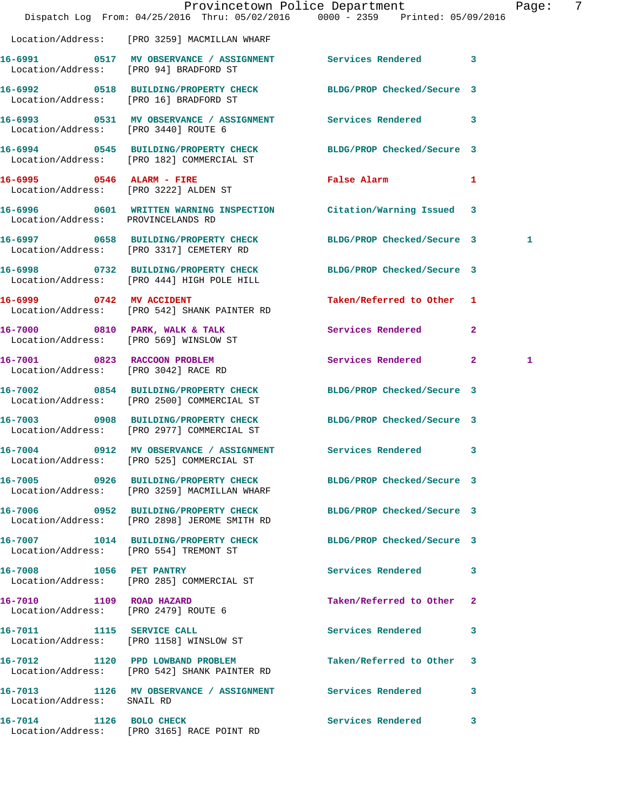|                                                                      | Dispatch Log From: 04/25/2016 Thru: 05/02/2016 0000 - 2359 Printed: 05/09/2016                                  | Provincetown Police Department |   | Page: | -7 |
|----------------------------------------------------------------------|-----------------------------------------------------------------------------------------------------------------|--------------------------------|---|-------|----|
|                                                                      | Location/Address: [PRO 3259] MACMILLAN WHARF                                                                    |                                |   |       |    |
| Location/Address: [PRO 94] BRADFORD ST                               | 16-6991 0517 MV OBSERVANCE / ASSIGNMENT Services Rendered 3                                                     |                                |   |       |    |
| Location/Address: [PRO 16] BRADFORD ST                               | 16-6992 0518 BUILDING/PROPERTY CHECK BLDG/PROP Checked/Secure 3                                                 |                                |   |       |    |
| Location/Address: [PRO 3440] ROUTE 6                                 | 16-6993 0531 MV OBSERVANCE / ASSIGNMENT Services Rendered 3                                                     |                                |   |       |    |
|                                                                      | 16-6994 0545 BUILDING/PROPERTY CHECK BLDG/PROP Checked/Secure 3<br>Location/Address: [PRO 182] COMMERCIAL ST    |                                |   |       |    |
|                                                                      | 16-6995 0546 ALARM - FIRE<br>Location/Address: [PRO 3222] ALDEN ST                                              | False Alarm                    | 1 |       |    |
| Location/Address: PROVINCELANDS RD                                   | 16-6996 0601 WRITTEN WARNING INSPECTION Citation/Warning Issued 3                                               |                                |   |       |    |
|                                                                      | 16-6997 0658 BUILDING/PROPERTY CHECK<br>Location/Address: [PRO 3317] CEMETERY RD                                | BLDG/PROP Checked/Secure 3     |   | 1     |    |
|                                                                      | 16-6998 0732 BUILDING/PROPERTY CHECK BLDG/PROP Checked/Secure 3<br>Location/Address: [PRO 444] HIGH POLE HILL   |                                |   |       |    |
| 16-6999 0742 MV ACCIDENT                                             | Location/Address: [PRO 542] SHANK PAINTER RD                                                                    | Taken/Referred to Other 1      |   |       |    |
|                                                                      | 16-7000 0810 PARK, WALK & TALK<br>Location/Address: [PRO 569] WINSLOW ST                                        | Services Rendered 2            |   |       |    |
| 16-7001 0823 RACCOON PROBLEM<br>Location/Address: [PRO 3042] RACE RD |                                                                                                                 | Services Rendered 2            |   | 1     |    |
|                                                                      | 16-7002 0854 BUILDING/PROPERTY CHECK<br>Location/Address: [PRO 2500] COMMERCIAL ST                              | BLDG/PROP Checked/Secure 3     |   |       |    |
|                                                                      | 16-7003 0908 BUILDING/PROPERTY CHECK<br>Location/Address: [PRO 2977] COMMERCIAL ST                              | BLDG/PROP Checked/Secure 3     |   |       |    |
|                                                                      | 16-7004 0912 MV OBSERVANCE / ASSIGNMENT Services Rendered 3<br>Location/Address: [PRO 525] COMMERCIAL ST        |                                |   |       |    |
|                                                                      | 16-7005 0926 BUILDING/PROPERTY CHECK BLDG/PROP Checked/Secure 3<br>Location/Address: [PRO 3259] MACMILLAN WHARF |                                |   |       |    |
|                                                                      | 16-7006 0952 BUILDING/PROPERTY CHECK<br>Location/Address: [PRO 2898] JEROME SMITH RD                            | BLDG/PROP Checked/Secure 3     |   |       |    |
| Location/Address: [PRO 554] TREMONT ST                               | 16-7007 1014 BUILDING/PROPERTY CHECK BLDG/PROP Checked/Secure 3                                                 |                                |   |       |    |
|                                                                      | 16-7008 1056 PET PANTRY<br>Location/Address: [PRO 285] COMMERCIAL ST                                            | Services Rendered 3            |   |       |    |
| 16-7010 1109 ROAD HAZARD<br>Location/Address: [PRO 2479] ROUTE 6     |                                                                                                                 | Taken/Referred to Other 2      |   |       |    |
|                                                                      | 16-7011 1115 SERVICE CALL<br>Location/Address: [PRO 1158] WINSLOW ST                                            | Services Rendered 3            |   |       |    |
|                                                                      | 16-7012 1120 PPD LOWBAND PROBLEM<br>Location/Address: [PRO 542] SHANK PAINTER RD                                | Taken/Referred to Other 3      |   |       |    |
| Location/Address: SNAIL RD                                           | 16-7013 1126 MV OBSERVANCE / ASSIGNMENT Services Rendered 3                                                     |                                |   |       |    |
|                                                                      | 16-7014 1126 BOLO CHECK<br>Location/Address: [PRO 3165] RACE POINT RD                                           | Services Rendered 3            |   |       |    |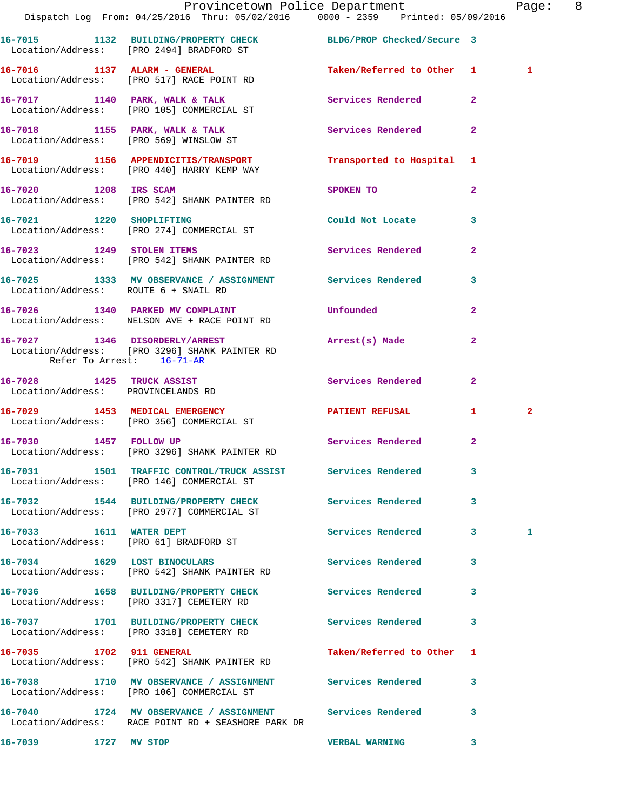|                                      | Dispatch Log From: 04/25/2016 Thru: 05/02/2016 0000 - 2359 Printed: 05/09/2016                                    | Provincetown Police Department          |              | Page: 8      |  |
|--------------------------------------|-------------------------------------------------------------------------------------------------------------------|-----------------------------------------|--------------|--------------|--|
|                                      | 16-7015 1132 BUILDING/PROPERTY CHECK BLDG/PROP Checked/Secure 3<br>Location/Address: [PRO 2494] BRADFORD ST       |                                         |              |              |  |
|                                      | 16-7016 1137 ALARM - GENERAL<br>Location/Address: [PRO 517] RACE POINT RD                                         | Taken/Referred to Other 1               |              | 1            |  |
|                                      | 16-7017 1140 PARK, WALK & TALK 1997 Services Rendered 2<br>Location/Address: [PRO 105] COMMERCIAL ST              |                                         |              |              |  |
|                                      | 16-7018 1155 PARK, WALK & TALK 6 Services Rendered 2<br>Location/Address: [PRO 569] WINSLOW ST                    |                                         |              |              |  |
|                                      | 16-7019 1156 APPENDICITIS/TRANSPORT Transported to Hospital 1<br>Location/Address: [PRO 440] HARRY KEMP WAY       |                                         |              |              |  |
| 16-7020 1208 IRS SCAM                | Location/Address: [PRO 542] SHANK PAINTER RD                                                                      | SPOKEN TO DESCRIPTION OF REAL PROPERTY. | $\mathbf{2}$ |              |  |
|                                      | 16-7021 1220 SHOPLIFTING<br>Location/Address: [PRO 274] COMMERCIAL ST                                             | Could Not Locate 3                      |              |              |  |
|                                      | 16-7023 1249 STOLEN ITEMS<br>Location/Address: [PRO 542] SHANK PAINTER RD                                         | Services Rendered                       | $\mathbf{2}$ |              |  |
| Location/Address: ROUTE 6 + SNAIL RD | 16-7025 1333 MV OBSERVANCE / ASSIGNMENT Services Rendered 3                                                       |                                         |              |              |  |
|                                      | 16-7026 1340 PARKED MV COMPLAINT<br>Location/Address: NELSON AVE + RACE POINT RD                                  | Unfounded                               | $\mathbf{2}$ |              |  |
| Refer To Arrest: 16-71-AR            | 16-7027 1346 DISORDERLY/ARREST<br>Location/Address: [PRO 3296] SHANK PAINTER RD                                   | Arrest(s) Made                          | $\mathbf{2}$ |              |  |
| Location/Address: PROVINCELANDS RD   | 16-7028 1425 TRUCK ASSIST                                                                                         | Services Rendered                       | $\mathbf{2}$ |              |  |
|                                      | 16-7029 1453 MEDICAL EMERGENCY PATIENT REFUSAL 1<br>Location/Address: [PRO 356] COMMERCIAL ST                     |                                         |              | $\mathbf{2}$ |  |
|                                      | 16-7030 1457 FOLLOW UP<br>Location/Address: [PRO 3296] SHANK PAINTER RD                                           | Services Rendered 2                     |              |              |  |
|                                      | 16-7031 1501 TRAFFIC CONTROL/TRUCK ASSIST Services Rendered 3<br>Location/Address: [PRO 146] COMMERCIAL ST        |                                         |              |              |  |
|                                      | 16-7032 1544 BUILDING/PROPERTY CHECK Services Rendered<br>Location/Address: [PRO 2977] COMMERCIAL ST              |                                         | $\mathbf{3}$ |              |  |
|                                      | 16-7033 1611 WATER DEPT<br>Location/Address: [PRO 61] BRADFORD ST                                                 | Services Rendered 3                     |              | 1            |  |
|                                      | 16-7034 1629 LOST BINOCULARS<br>Location/Address: [PRO 542] SHANK PAINTER RD                                      | Services Rendered 3                     |              |              |  |
|                                      | 16-7036 1658 BUILDING/PROPERTY CHECK<br>Location/Address: [PRO 3317] CEMETERY RD                                  | Services Rendered 3                     |              |              |  |
|                                      | 16-7037 1701 BUILDING/PROPERTY CHECK Services Rendered 3<br>Location/Address: [PRO 3318] CEMETERY RD              |                                         |              |              |  |
| 16-7035 1702 911 GENERAL             | Location/Address: [PRO 542] SHANK PAINTER RD                                                                      | Taken/Referred to Other 1               |              |              |  |
|                                      | 16-7038 1710 MV OBSERVANCE / ASSIGNMENT Services Rendered 3<br>Location/Address: [PRO 106] COMMERCIAL ST          |                                         |              |              |  |
|                                      | 16-7040 1724 MV OBSERVANCE / ASSIGNMENT Services Rendered 3<br>Location/Address: RACE POINT RD + SEASHORE PARK DR |                                         |              |              |  |
| 16-7039 1727 MV STOP                 |                                                                                                                   | <b>VERBAL WARNING</b>                   | 3            |              |  |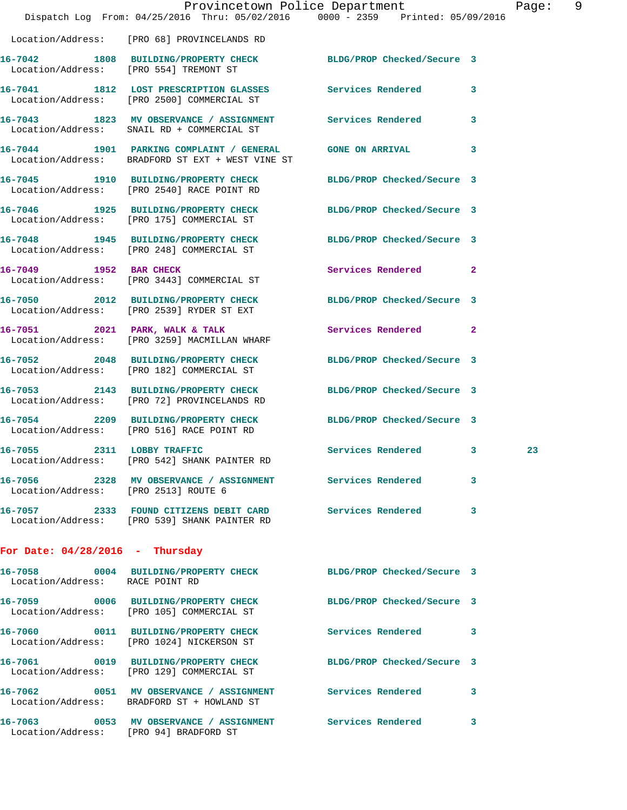|                                        | Dispatch Log From: 04/25/2016 Thru: 05/02/2016 0000 - 2359 Printed: 05/09/2016                                 | Provincetown Police Department |   | Page: 9 |  |
|----------------------------------------|----------------------------------------------------------------------------------------------------------------|--------------------------------|---|---------|--|
|                                        | Location/Address: [PRO 68] PROVINCELANDS RD                                                                    |                                |   |         |  |
|                                        | 16-7042 1808 BUILDING/PROPERTY CHECK BLDG/PROP Checked/Secure 3<br>Location/Address: [PRO 554] TREMONT ST      |                                |   |         |  |
|                                        | 16-7041 1812 LOST PRESCRIPTION GLASSES Services Rendered<br>Location/Address: [PRO 2500] COMMERCIAL ST         |                                | 3 |         |  |
|                                        | 16-7043 1823 MV OBSERVANCE / ASSIGNMENT Services Rendered 3<br>Location/Address: SNAIL RD + COMMERCIAL ST      |                                |   |         |  |
|                                        | 16-7044 1901 PARKING COMPLAINT / GENERAL GONE ON ARRIVAL<br>Location/Address: BRADFORD ST EXT + WEST VINE ST   |                                | 3 |         |  |
|                                        | 16-7045 1910 BUILDING/PROPERTY CHECK BLDG/PROP Checked/Secure 3<br>Location/Address: [PRO 2540] RACE POINT RD  |                                |   |         |  |
|                                        | 16-7046 1925 BUILDING/PROPERTY CHECK BLDG/PROP Checked/Secure 3<br>Location/Address: [PRO 175] COMMERCIAL ST   |                                |   |         |  |
|                                        | 16-7048 1945 BUILDING/PROPERTY CHECK BLDG/PROP Checked/Secure 3<br>Location/Address: [PRO 248] COMMERCIAL ST   |                                |   |         |  |
|                                        | 16-7049 1952 BAR CHECK<br>Location/Address: [PRO 3443] COMMERCIAL ST                                           | Services Rendered 2            |   |         |  |
|                                        | 16-7050 2012 BUILDING/PROPERTY CHECK BLDG/PROP Checked/Secure 3<br>Location/Address: [PRO 2539] RYDER ST EXT   |                                |   |         |  |
|                                        | 16-7051 2021 PARK, WALK & TALK 3 Services Rendered 2<br>Location/Address: [PRO 3259] MACMILLAN WHARF           |                                |   |         |  |
|                                        | 16-7052 2048 BUILDING/PROPERTY CHECK BLDG/PROP Checked/Secure 3<br>Location/Address: [PRO 182] COMMERCIAL ST   |                                |   |         |  |
|                                        | 16-7053 2143 BUILDING/PROPERTY CHECK BLDG/PROP Checked/Secure 3<br>Location/Address: [PRO 72] PROVINCELANDS RD |                                |   |         |  |
|                                        | 16-7054 2209 BUILDING/PROPERTY CHECK BLDG/PROP Checked/Secure 3<br>Location/Address: [PRO 516] RACE POINT RD   |                                |   |         |  |
| 16-7055 2311 LOBBY TRAFFIC             | Location/Address: [PRO 542] SHANK PAINTER RD                                                                   | Services Rendered 3            |   | 23      |  |
| Location/Address: [PRO 2513] ROUTE 6   | 16-7056 2328 MV OBSERVANCE / ASSIGNMENT Services Rendered                                                      |                                | 3 |         |  |
|                                        | 16-7057 2333 FOUND CITIZENS DEBIT CARD Services Rendered<br>Location/Address: [PRO 539] SHANK PAINTER RD       |                                | 3 |         |  |
| For Date: $04/28/2016$ - Thursday      |                                                                                                                |                                |   |         |  |
| Location/Address: RACE POINT RD        | 16-7058 0004 BUILDING/PROPERTY CHECK BLDG/PROP Checked/Secure 3                                                |                                |   |         |  |
|                                        | 16-7059 0006 BUILDING/PROPERTY CHECK BLDG/PROP Checked/Secure 3<br>Location/Address: [PRO 105] COMMERCIAL ST   |                                |   |         |  |
|                                        | 16-7060 0011 BUILDING/PROPERTY CHECK<br>Location/Address: [PRO 1024] NICKERSON ST                              | Services Rendered 3            |   |         |  |
|                                        | 16-7061 0019 BUILDING/PROPERTY CHECK BLDG/PROP Checked/Secure 3<br>Location/Address: [PRO 129] COMMERCIAL ST   |                                |   |         |  |
|                                        | 16-7062 0051 MV OBSERVANCE / ASSIGNMENT Services Rendered<br>Location/Address: BRADFORD ST + HOWLAND ST        |                                | 3 |         |  |
| Location/Address: [PRO 94] BRADFORD ST | 16-7063 0053 MV OBSERVANCE / ASSIGNMENT Services Rendered                                                      |                                | 3 |         |  |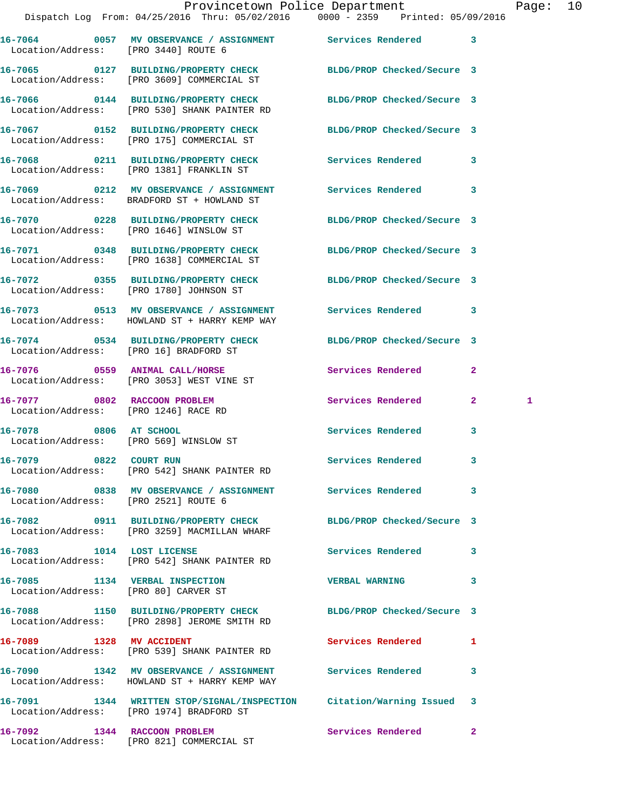| Provincetown Police Department<br>Dispatch Log From: 04/25/2016 Thru: 05/02/2016 0000 - 2359 Printed: 05/09/2016 | Page:                   | 10 |
|------------------------------------------------------------------------------------------------------------------|-------------------------|----|
| 16-7064 0057 MV OBSERVANCE / ASSIGNMENT Services Rendered 3<br>Location/Address: [PRO 3440] ROUTE 6              |                         |    |
| 16-7065 0127 BUILDING/PROPERTY CHECK BLDG/PROP Checked/Secure 3<br>Location/Address: [PRO 3609] COMMERCIAL ST    |                         |    |
| 16-7066 0144 BUILDING/PROPERTY CHECK BLDG/PROP Checked/Secure 3<br>Location/Address: [PRO 530] SHANK PAINTER RD  |                         |    |
| 16-7067  0152 BUILDING/PROPERTY CHECK BLDG/PROP Checked/Secure 3<br>Location/Address: [PRO 175] COMMERCIAL ST    |                         |    |
| 16-7068 0211 BUILDING/PROPERTY CHECK Services Rendered 3<br>Location/Address: [PRO 1381] FRANKLIN ST             |                         |    |
| 16-7069 0212 MV OBSERVANCE / ASSIGNMENT Services Rendered 3<br>Location/Address: BRADFORD ST + HOWLAND ST        |                         |    |
| 16-7070 0228 BUILDING/PROPERTY CHECK BLDG/PROP Checked/Secure 3<br>Location/Address: [PRO 1646] WINSLOW ST       |                         |    |
| 16-7071 0348 BUILDING/PROPERTY CHECK BLDG/PROP Checked/Secure 3<br>Location/Address: [PRO 1638] COMMERCIAL ST    |                         |    |
| 16-7072 0355 BUILDING/PROPERTY CHECK BLDG/PROP Checked/Secure 3<br>Location/Address: [PRO 1780] JOHNSON ST       |                         |    |
| 16-7073 0513 MV OBSERVANCE / ASSIGNMENT Services Rendered<br>Location/Address: HOWLAND ST + HARRY KEMP WAY       | $\overline{\mathbf{3}}$ |    |

**16-7074 0534 BUILDING/PROPERTY CHECK BLDG/PROP Checked/Secure 3**  Location/Address: [PRO 16] BRADFORD ST

**16-7076 0559 ANIMAL CALL/HORSE Services Rendered 2**  Location/Address: [PRO 3053] WEST VINE ST

**16-7077 0802 RACCOON PROBLEM Services Rendered 2 1**  Location/Address: [PRO 1246] RACE RD

**16-7078 0806 AT SCHOOL Services Rendered 3**  Location/Address: [PRO 569] WINSLOW ST

**16-7079 0822 COURT RUN Services Rendered 3**  Location/Address: [PRO 542] SHANK PAINTER RD

**16-7080 0838 MV OBSERVANCE / ASSIGNMENT Services Rendered 3**  Location/Address: [PRO 2521] ROUTE 6

**16-7082 0911 BUILDING/PROPERTY CHECK BLDG/PROP Checked/Secure 3**  Location/Address: [PRO 3259] MACMILLAN WHARF

16-7083 1014 LOST LICENSE **100 Services Rendered** 3 Location/Address: [PRO 542] SHANK PAINTER RD

**16-7085 1134 VERBAL INSPECTION VERBAL WARNING 3**  Location/Address: [PRO 80] CARVER ST

**16-7088 1150 BUILDING/PROPERTY CHECK BLDG/PROP Checked/Secure 3**  Location/Address: [PRO 2898] JEROME SMITH RD

**16-7089 1328 MV ACCIDENT Services Rendered 1** 

Location/Address: HOWLAND ST + HARRY KEMP WAY

 Location/Address: [PRO 539] SHANK PAINTER RD **16-7090 1342 MV OBSERVANCE / ASSIGNMENT Services Rendered 3** 

**16-7091 1344 WRITTEN STOP/SIGNAL/INSPECTION Citation/Warning Issued 3**  Location/Address: [PRO 1974] BRADFORD ST

**16-7092 1344 RACCOON PROBLEM Services Rendered 2**  Location/Address: [PRO 821] COMMERCIAL ST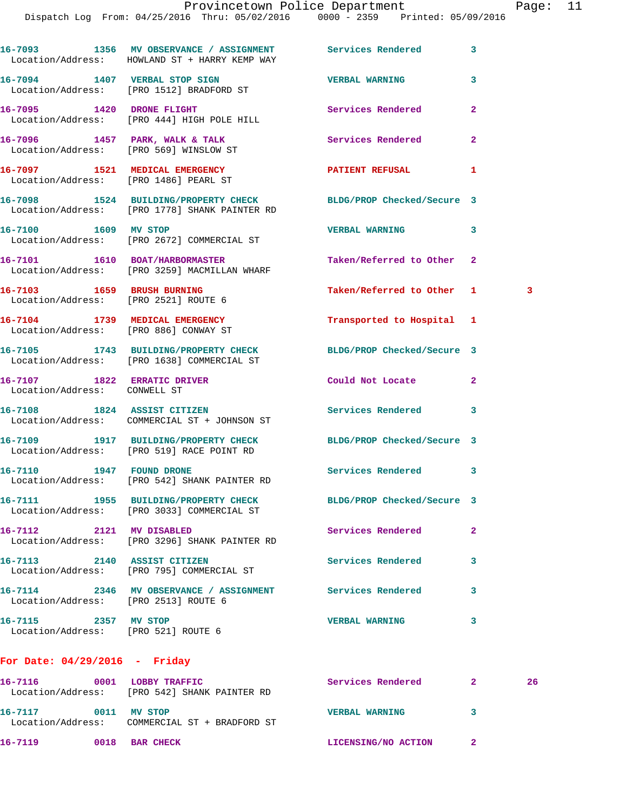|                                                                    | 16-7093 1356 MV OBSERVANCE / ASSIGNMENT Services Rendered<br>Location/Address: HOWLAND ST + HARRY KEMP WAY       |                            | 3              |    |
|--------------------------------------------------------------------|------------------------------------------------------------------------------------------------------------------|----------------------------|----------------|----|
|                                                                    | 16-7094 1407 VERBAL STOP SIGN<br>Location/Address: [PRO 1512] BRADFORD ST                                        | <b>VERBAL WARNING</b>      | 3              |    |
|                                                                    | 16-7095 1420 DRONE FLIGHT<br>Location/Address: [PRO 444] HIGH POLE HILL                                          | Services Rendered          | $\overline{2}$ |    |
|                                                                    | 16-7096 1457 PARK, WALK & TALK<br>Location/Address: [PRO 569] WINSLOW ST                                         | <b>Services Rendered</b>   | $\mathbf{2}$   |    |
|                                                                    | 16-7097 1521 MEDICAL EMERGENCY<br>Location/Address: [PRO 1486] PEARL ST                                          | PATIENT REFUSAL            | 1              |    |
|                                                                    | 16-7098 1524 BUILDING/PROPERTY CHECK BLDG/PROP Checked/Secure 3<br>Location/Address: [PRO 1778] SHANK PAINTER RD |                            |                |    |
| 16-7100 1609 MV STOP                                               | Location/Address: [PRO 2672] COMMERCIAL ST                                                                       | <b>VERBAL WARNING</b>      | 3              |    |
|                                                                    | 16-7101 1610 BOAT/HARBORMASTER<br>Location/Address: [PRO 3259] MACMILLAN WHARF                                   | Taken/Referred to Other    | $\mathbf{2}$   |    |
| 16-7103 1659 BRUSH BURNING<br>Location/Address: [PRO 2521] ROUTE 6 |                                                                                                                  | Taken/Referred to Other 1  |                | -3 |
|                                                                    | 16-7104 1739 MEDICAL EMERGENCY<br>Location/Address: [PRO 886] CONWAY ST                                          | Transported to Hospital 1  |                |    |
|                                                                    | 16-7105 1743 BUILDING/PROPERTY CHECK BLDG/PROP Checked/Secure 3<br>Location/Address: [PRO 1638] COMMERCIAL ST    |                            |                |    |
| 16-7107 1822 ERRATIC DRIVER<br>Location/Address: CONWELL ST        |                                                                                                                  | Could Not Locate           | $\mathbf{2}$   |    |
|                                                                    | 16-7108 1824 ASSIST CITIZEN<br>Location/Address: COMMERCIAL ST + JOHNSON ST                                      | Services Rendered          | 3              |    |
|                                                                    | 16-7109 1917 BUILDING/PROPERTY CHECK BLDG/PROP Checked/Secure 3<br>Location/Address: [PRO 519] RACE POINT RD     |                            |                |    |
|                                                                    | 16-7110 1947 FOUND DRONE<br>Location/Address: [PRO 542] SHANK PAINTER RD                                         | <b>Services Rendered</b>   | 3              |    |
|                                                                    | 16-7111 1955 BUILDING/PROPERTY CHECK<br>Location/Address: [PRO 3033] COMMERCIAL ST                               | BLDG/PROP Checked/Secure 3 |                |    |
| 16-7112 2121 MV DISABLED                                           | Location/Address: [PRO 3296] SHANK PAINTER RD                                                                    | Services Rendered          | $\overline{2}$ |    |
| 16-7113 2140 ASSIST CITIZEN                                        | Location/Address: [PRO 795] COMMERCIAL ST                                                                        | Services Rendered          | 3              |    |
| Location/Address: [PRO 2513] ROUTE 6                               | 16-7114 2346 MV OBSERVANCE / ASSIGNMENT Services Rendered                                                        |                            | 3              |    |
| 16-7115 2357 MV STOP<br>Location/Address: [PRO 521] ROUTE 6        |                                                                                                                  | <b>VERBAL WARNING</b>      | 3              |    |
|                                                                    |                                                                                                                  |                            |                |    |

## **For Date: 04/29/2016 - Friday**

| 16-7116<br>Location/Address: | 0001 | LOBBY TRAFFIC<br>[PRO 542] SHANK PAINTER RD | Services Rendered     | 26 |
|------------------------------|------|---------------------------------------------|-----------------------|----|
| 16-7117<br>Location/Address: | 0011 | MV STOP<br>COMMERCIAL ST + BRADFORD ST      | <b>VERBAL WARNING</b> |    |
| 16-7119                      | 0018 | <b>BAR CHECK</b>                            | LICENSING/NO ACTION   |    |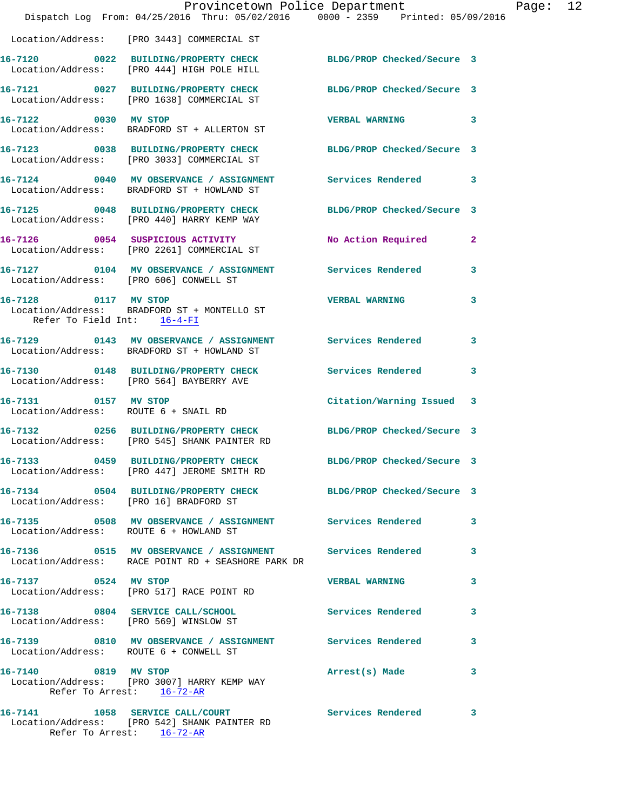|                                                     | Provincetown Police Department                                                                                   |                            |                |
|-----------------------------------------------------|------------------------------------------------------------------------------------------------------------------|----------------------------|----------------|
|                                                     | Dispatch Log From: 04/25/2016 Thru: 05/02/2016 0000 - 2359 Printed: 05/09/2016                                   |                            |                |
|                                                     | Location/Address: [PRO 3443] COMMERCIAL ST                                                                       |                            |                |
|                                                     | 16-7120 0022 BUILDING/PROPERTY CHECK BLDG/PROP Checked/Secure 3<br>Location/Address: [PRO 444] HIGH POLE HILL    |                            |                |
|                                                     | 16-7121 0027 BUILDING/PROPERTY CHECK BLDG/PROP Checked/Secure 3<br>Location/Address: [PRO 1638] COMMERCIAL ST    |                            |                |
| 16-7122 0030 MV STOP                                | Location/Address: BRADFORD ST + ALLERTON ST                                                                      | <b>VERBAL WARNING</b>      | 3              |
|                                                     | 16-7123 0038 BUILDING/PROPERTY CHECK BLDG/PROP Checked/Secure 3<br>Location/Address: [PRO 3033] COMMERCIAL ST    |                            |                |
|                                                     | 16-7124 0040 MV OBSERVANCE / ASSIGNMENT Services Rendered<br>Location/Address: BRADFORD ST + HOWLAND ST          |                            | 3              |
|                                                     | 16-7125 0048 BUILDING/PROPERTY CHECK<br>Location/Address: [PRO 440] HARRY KEMP WAY                               | BLDG/PROP Checked/Secure 3 |                |
|                                                     | 16-7126 0054 SUSPICIOUS ACTIVITY<br>Location/Address: [PRO 2261] COMMERCIAL ST                                   | No Action Required         | $\overline{2}$ |
|                                                     | 16-7127  0104 MV OBSERVANCE / ASSIGNMENT Services Rendered<br>Location/Address: [PRO 606] CONWELL ST             |                            | 3              |
| 16-7128 0117 MV STOP<br>Refer To Field Int: 16-4-FI | Location/Address: BRADFORD ST + MONTELLO ST                                                                      | <b>VERBAL WARNING</b>      | 3              |
|                                                     | 16-7129 0143 MV OBSERVANCE / ASSIGNMENT Services Rendered<br>Location/Address: BRADFORD ST + HOWLAND ST          |                            | 3              |
|                                                     | 16-7130 0148 BUILDING/PROPERTY CHECK Services Rendered<br>Location/Address: [PRO 564] BAYBERRY AVE               |                            | 3              |
| 16-7131 0157 MV STOP                                | Location/Address: ROUTE 6 + SNAIL RD                                                                             | Citation/Warning Issued    | 3              |
|                                                     | 16-7132 0256 BUILDING/PROPERTY CHECK<br>Location/Address: [PRO 545] SHANK PAINTER RD                             | BLDG/PROP Checked/Secure 3 |                |
|                                                     | 16-7133 0459 BUILDING/PROPERTY CHECK<br>Location/Address: [PRO 447] JEROME SMITH RD                              | BLDG/PROP Checked/Secure 3 |                |
|                                                     | 16-7134 0504 BUILDING/PROPERTY CHECK BLDG/PROP Checked/Secure 3<br>Location/Address: [PRO 16] BRADFORD ST        |                            |                |
|                                                     | 16-7135 0508 MV OBSERVANCE / ASSIGNMENT Services Rendered<br>Location/Address: ROUTE 6 + HOWLAND ST              |                            | 3              |
|                                                     | 16-7136  0515 MV OBSERVANCE / ASSIGNMENT Services Rendered<br>Location/Address: RACE POINT RD + SEASHORE PARK DR |                            | 3              |
| 16-7137 0524 MV STOP                                | Location/Address: [PRO 517] RACE POINT RD                                                                        | <b>VERBAL WARNING</b>      | 3              |
|                                                     | 16-7138 0804 SERVICE CALL/SCHOOL 5ervices Rendered<br>Location/Address: [PRO 569] WINSLOW ST                     |                            | 3              |
|                                                     | 16-7139 0810 MV OBSERVANCE / ASSIGNMENT Services Rendered<br>Location/Address: ROUTE 6 + CONWELL ST              |                            | 3              |
| 16-7140 0819 MV STOP                                | Location/Address: [PRO 3007] HARRY KEMP WAY<br>Refer To Arrest: 16-72-AR                                         | Arrest(s) Made             | 3              |
|                                                     | 16-7141 1058 SERVICE CALL/COURT<br>Location/Address: [PRO 542] SHANK PAINTER RD<br>Refer To Arrest: 16-72-AR     | <b>Services Rendered</b>   | 3              |

Page:  $12$ <br>  $216$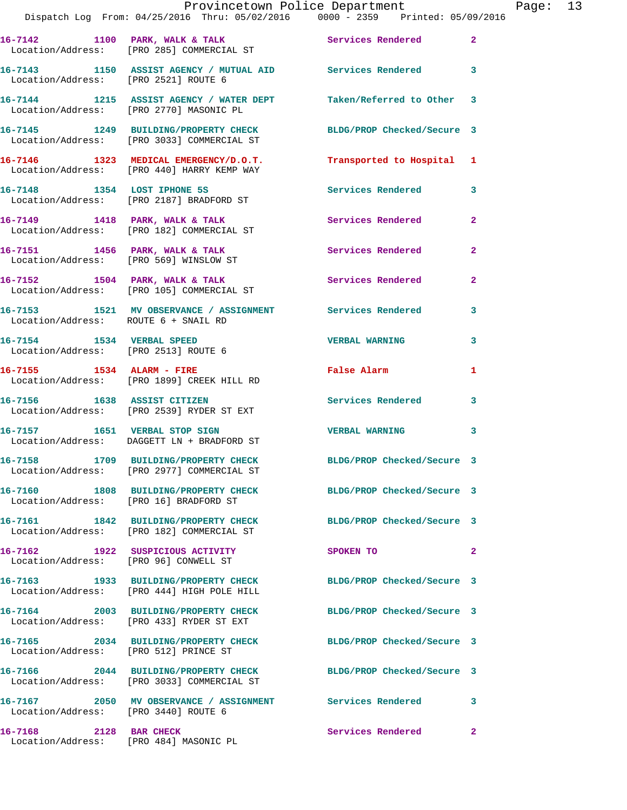|                                                                   | Provincetown Police Department                                                                                |                            |                |
|-------------------------------------------------------------------|---------------------------------------------------------------------------------------------------------------|----------------------------|----------------|
|                                                                   | Dispatch Log From: 04/25/2016 Thru: 05/02/2016 0000 - 2359 Printed: 05/09/2016                                |                            |                |
|                                                                   | 16-7142 1100 PARK, WALK & TALK<br>Location/Address: [PRO 285] COMMERCIAL ST                                   | Services Rendered          | $\mathbf{2}$   |
| Location/Address: [PRO 2521] ROUTE 6                              | 16-7143 1150 ASSIST AGENCY / MUTUAL AID Services Rendered                                                     |                            | 3              |
|                                                                   | 16-7144 1215 ASSIST AGENCY / WATER DEPT Taken/Referred to Other<br>Location/Address: [PRO 2770] MASONIC PL    |                            | 3              |
|                                                                   | 16-7145 1249 BUILDING/PROPERTY CHECK<br>Location/Address: [PRO 3033] COMMERCIAL ST                            | BLDG/PROP Checked/Secure 3 |                |
|                                                                   | 16-7146 1323 MEDICAL EMERGENCY/D.O.T.<br>Location/Address: [PRO 440] HARRY KEMP WAY                           | Transported to Hospital 1  |                |
|                                                                   | 16-7148 1354 LOST IPHONE 5S<br>Location/Address: [PRO 2187] BRADFORD ST                                       | <b>Services Rendered</b>   | 3              |
|                                                                   | 16-7149 1418 PARK, WALK & TALK<br>Location/Address: [PRO 182] COMMERCIAL ST                                   | Services Rendered          | $\overline{a}$ |
|                                                                   | 16-7151 1456 PARK, WALK & TALK<br>Location/Address: [PRO 569] WINSLOW ST                                      | <b>Services Rendered</b>   | 2              |
|                                                                   | 16-7152 1504 PARK, WALK & TALK<br>Location/Address: [PRO 105] COMMERCIAL ST                                   | Services Rendered          | $\mathbf{2}$   |
| Location/Address: ROUTE 6 + SNAIL RD                              | 16-7153 1521 MV OBSERVANCE / ASSIGNMENT Services Rendered                                                     |                            | 3              |
| 16-7154 1534 VERBAL SPEED<br>Location/Address: [PRO 2513] ROUTE 6 |                                                                                                               | <b>VERBAL WARNING</b>      | 3              |
|                                                                   | 16-7155 1534 ALARM - FIRE<br>Location/Address: [PRO 1899] CREEK HILL RD                                       | <b>False Alarm</b>         | 1              |
| 16-7156 1638 ASSIST CITIZEN                                       | Location/Address: [PRO 2539] RYDER ST EXT                                                                     | <b>Services Rendered</b>   | 3              |
|                                                                   | 16-7157 1651 VERBAL STOP SIGN<br>Location/Address: DAGGETT LN + BRADFORD ST                                   | <b>VERBAL WARNING</b>      | 3              |
|                                                                   | 16-7158 1709 BUILDING/PROPERTY CHECK<br>Location/Address: [PRO 2977] COMMERCIAL ST                            | BLDG/PROP Checked/Secure 3 |                |
| Location/Address: [PRO 16] BRADFORD ST                            | 16-7160 1808 BUILDING/PROPERTY CHECK                                                                          | BLDG/PROP Checked/Secure 3 |                |
|                                                                   | 16-7161 1842 BUILDING/PROPERTY CHECK<br>Location/Address: [PRO 182] COMMERCIAL ST                             | BLDG/PROP Checked/Secure 3 |                |
| Location/Address: [PRO 96] CONWELL ST                             | 16-7162 1922 SUSPICIOUS ACTIVITY                                                                              | <b>SPOKEN TO</b>           | 2              |
|                                                                   | 16-7163 1933 BUILDING/PROPERTY CHECK BLDG/PROP Checked/Secure 3<br>Location/Address: [PRO 444] HIGH POLE HILL |                            |                |
|                                                                   | 16-7164 2003 BUILDING/PROPERTY CHECK<br>Location/Address: [PRO 433] RYDER ST EXT                              | BLDG/PROP Checked/Secure 3 |                |
| Location/Address: [PRO 512] PRINCE ST                             | 16-7165 2034 BUILDING/PROPERTY CHECK                                                                          | BLDG/PROP Checked/Secure 3 |                |
|                                                                   | 16-7166 2044 BUILDING/PROPERTY CHECK<br>Location/Address: [PRO 3033] COMMERCIAL ST                            | BLDG/PROP Checked/Secure 3 |                |
| Location/Address: [PRO 3440] ROUTE 6                              |                                                                                                               |                            | 3              |
| 16-7168 2128 BAR CHECK                                            |                                                                                                               | <b>Services Rendered</b>   | $\mathbf{2}$   |

Location/Address: [PRO 484] MASONIC PL

Page: 13<br>16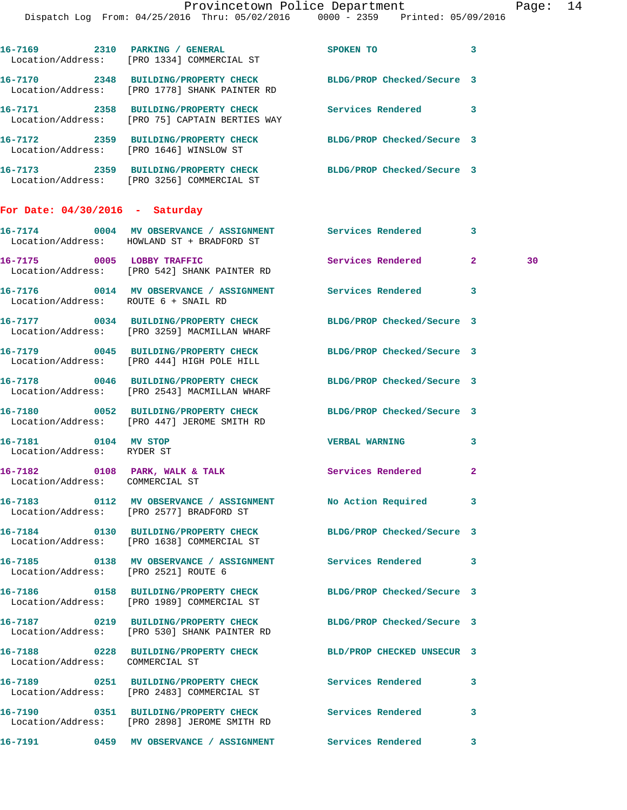| For Date: $04/30/2016$ - | Saturday                                                                        |                            |   |
|--------------------------|---------------------------------------------------------------------------------|----------------------------|---|
| 2359<br>16-7173          | BUILDING/PROPERTY CHECK<br>Location/Address: [PRO 3256] COMMERCIAL ST           | BLDG/PROP Checked/Secure 3 |   |
| 16-7172<br>2359          | <b>BUILDING/PROPERTY CHECK</b><br>Location/Address: [PRO 1646] WINSLOW ST       | BLDG/PROP Checked/Secure 3 |   |
| 2358<br>16-7171          | BUILDING/PROPERTY CHECK<br>Location/Address: [PRO 75] CAPTAIN BERTIES WAY       | Services Rendered          | 3 |
| 2348<br>16-7170          | <b>BUILDING/PROPERTY CHECK</b><br>Location/Address: [PRO 1778] SHANK PAINTER RD | BLDG/PROP Checked/Secure 3 |   |
| 16-7169<br>2310          | PARKING / GENERAL<br>Location/Address: [PRO 1334] COMMERCIAL ST                 | SPOKEN TO                  | 3 |

|                                                    | 16-7174 0004 MV OBSERVANCE / ASSIGNMENT Services Rendered<br>Location/Address: HOWLAND ST + BRADFORD ST         |                            | $\mathbf{3}$   |    |
|----------------------------------------------------|-----------------------------------------------------------------------------------------------------------------|----------------------------|----------------|----|
| 16-7175 0005 LOBBY TRAFFIC                         | Location/Address: [PRO 542] SHANK PAINTER RD                                                                    | Services Rendered 2        |                | 30 |
| Location/Address: ROUTE 6 + SNAIL RD               | 16-7176 0014 MV OBSERVANCE / ASSIGNMENT Services Rendered                                                       |                            | 3              |    |
|                                                    | 16-7177 0034 BUILDING/PROPERTY CHECK<br>Location/Address: [PRO 3259] MACMILLAN WHARF                            | BLDG/PROP Checked/Secure 3 |                |    |
|                                                    | 16-7179 0045 BUILDING/PROPERTY CHECK<br>Location/Address: [PRO 444] HIGH POLE HILL                              | BLDG/PROP Checked/Secure 3 |                |    |
|                                                    | 16-7178 0046 BUILDING/PROPERTY CHECK<br>Location/Address: [PRO 2543] MACMILLAN WHARF                            | BLDG/PROP Checked/Secure 3 |                |    |
|                                                    | 16-7180 0052 BUILDING/PROPERTY CHECK BLDG/PROP Checked/Secure 3<br>Location/Address: [PRO 447] JEROME SMITH RD  |                            |                |    |
| 16-7181 0104 MV STOP<br>Location/Address: RYDER ST |                                                                                                                 | <b>VERBAL WARNING</b>      | 3              |    |
| Location/Address: COMMERCIAL ST                    | 16-7182 0108 PARK, WALK & TALK                                                                                  | Services Rendered          | $\overline{2}$ |    |
|                                                    |                                                                                                                 |                            | 3              |    |
|                                                    | 16-7184 0130 BUILDING/PROPERTY CHECK<br>Location/Address: [PRO 1638] COMMERCIAL ST                              | BLDG/PROP Checked/Secure 3 |                |    |
| Location/Address: [PRO 2521] ROUTE 6               | 16-7185 0138 MV OBSERVANCE / ASSIGNMENT Services Rendered 3                                                     |                            |                |    |
|                                                    | 16-7186 0158 BUILDING/PROPERTY CHECK<br>Location/Address: [PRO 1989] COMMERCIAL ST                              | BLDG/PROP Checked/Secure 3 |                |    |
|                                                    | 16-7187 0219 BUILDING/PROPERTY CHECK BLDG/PROP Checked/Secure 3<br>Location/Address: [PRO 530] SHANK PAINTER RD |                            |                |    |
| Location/Address: COMMERCIAL ST                    | 16-7188 0228 BUILDING/PROPERTY CHECK                                                                            | BLD/PROP CHECKED UNSECUR 3 |                |    |
|                                                    | 16-7189 0251 BUILDING/PROPERTY CHECK Services Rendered 3<br>Location/Address: [PRO 2483] COMMERCIAL ST          |                            |                |    |
|                                                    | 16-7190 0351 BUILDING/PROPERTY CHECK                                                                            | Services Rendered          | 3              |    |

**16-7191 0459 MV OBSERVANCE / ASSIGNMENT Services Rendered 3** 

Location/Address: [PRO 2898] JEROME SMITH RD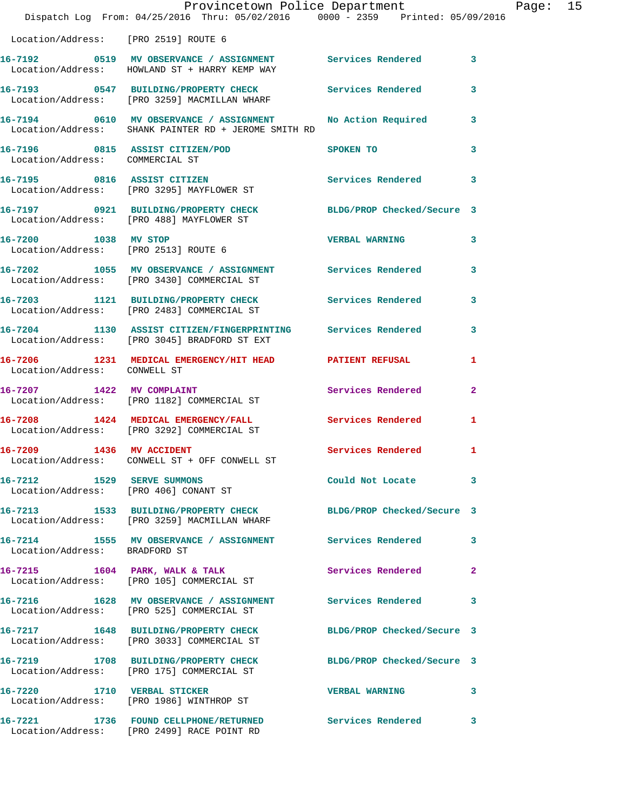|                                               | Dispatch Log From: 04/25/2016 Thru: 05/02/2016 0000 - 2359 Printed: 05/09/2016                                       | Provincetown Police Department |              | Page: 15 |  |
|-----------------------------------------------|----------------------------------------------------------------------------------------------------------------------|--------------------------------|--------------|----------|--|
| Location/Address: [PRO 2519] ROUTE 6          |                                                                                                                      |                                |              |          |  |
|                                               | 16-7192 0519 MV OBSERVANCE / ASSIGNMENT Services Rendered 3<br>Location/Address: HOWLAND ST + HARRY KEMP WAY         |                                |              |          |  |
|                                               | 16-7193 0547 BUILDING/PROPERTY CHECK Services Rendered<br>Location/Address: [PRO 3259] MACMILLAN WHARF               |                                | 3            |          |  |
|                                               | 16-7194 0610 MV OBSERVANCE / ASSIGNMENT No Action Required 3<br>Location/Address: SHANK PAINTER RD + JEROME SMITH RD |                                |              |          |  |
| Location/Address: COMMERCIAL ST               | 16-7196 0815 ASSIST CITIZEN/POD                                                                                      | SPOKEN TO                      | 3            |          |  |
|                                               | 16-7195 0816 ASSIST CITIZEN<br>Location/Address: [PRO 3295] MAYFLOWER ST                                             | Services Rendered 3            |              |          |  |
|                                               | 16-7197 0921 BUILDING/PROPERTY CHECK BLDG/PROP Checked/Secure 3<br>Location/Address: [PRO 488] MAYFLOWER ST          |                                |              |          |  |
| 16-7200 1038 MV STOP                          | Location/Address: [PRO 2513] ROUTE 6                                                                                 | <b>VERBAL WARNING 3</b>        |              |          |  |
|                                               | 16-7202 1055 MV OBSERVANCE / ASSIGNMENT Services Rendered 3<br>Location/Address: [PRO 3430] COMMERCIAL ST            |                                |              |          |  |
|                                               | 16-7203 1121 BUILDING/PROPERTY CHECK Services Rendered<br>Location/Address: [PRO 2483] COMMERCIAL ST                 |                                | 3            |          |  |
|                                               | 16-7204 1130 ASSIST CITIZEN/FINGERPRINTING Services Rendered 3<br>Location/Address: [PRO 3045] BRADFORD ST EXT       |                                |              |          |  |
| Location/Address: CONWELL ST                  | 16-7206 1231 MEDICAL EMERGENCY/HIT HEAD PATIENT REFUSAL                                                              |                                | $\mathbf{1}$ |          |  |
|                                               | 16-7207 1422 MV COMPLAINT<br>Location/Address: [PRO 1182] COMMERCIAL ST                                              | Services Rendered 2            |              |          |  |
|                                               | 16-7208 1424 MEDICAL EMERGENCY/FALL Services Rendered<br>Location/Address: [PRO 3292] COMMERCIAL ST                  |                                | $\mathbf{1}$ |          |  |
| 16-7209 1436 MV ACCIDENT<br>Location/Address: | CONWELL ST + OFF CONWELL ST                                                                                          | Services Rendered 1            |              |          |  |
|                                               | 16-7212 1529 SERVE SUMMONS<br>Location/Address: [PRO 406] CONANT ST                                                  | Could Not Locate 3             |              |          |  |
|                                               | 16-7213 1533 BUILDING/PROPERTY CHECK BLDG/PROP Checked/Secure 3<br>Location/Address: [PRO 3259] MACMILLAN WHARF      |                                |              |          |  |
| Location/Address: BRADFORD ST                 | 16-7214 1555 MV OBSERVANCE / ASSIGNMENT Services Rendered 3                                                          |                                |              |          |  |
|                                               | 16-7215 1604 PARK, WALK & TALK<br>Location/Address: [PRO 105] COMMERCIAL ST                                          | Services Rendered              | 2            |          |  |
|                                               | 16-7216 1628 MV OBSERVANCE / ASSIGNMENT Services Rendered<br>Location/Address: [PRO 525] COMMERCIAL ST               |                                | $\mathbf{3}$ |          |  |
|                                               | 16-7217 1648 BUILDING/PROPERTY CHECK BLDG/PROP Checked/Secure 3<br>Location/Address: [PRO 3033] COMMERCIAL ST        |                                |              |          |  |
|                                               | 16-7219 1708 BUILDING/PROPERTY CHECK BLDG/PROP Checked/Secure 3<br>Location/Address: [PRO 175] COMMERCIAL ST         |                                |              |          |  |
|                                               | 16-7220 1710 VERBAL STICKER<br>Location/Address: [PRO 1986] WINTHROP ST                                              | <b>VERBAL WARNING</b>          | 3            |          |  |
|                                               | 16-7221 1736 FOUND CELLPHONE/RETURNED<br>Location/Address: [PRO 2499] RACE POINT RD                                  | Services Rendered              | 3            |          |  |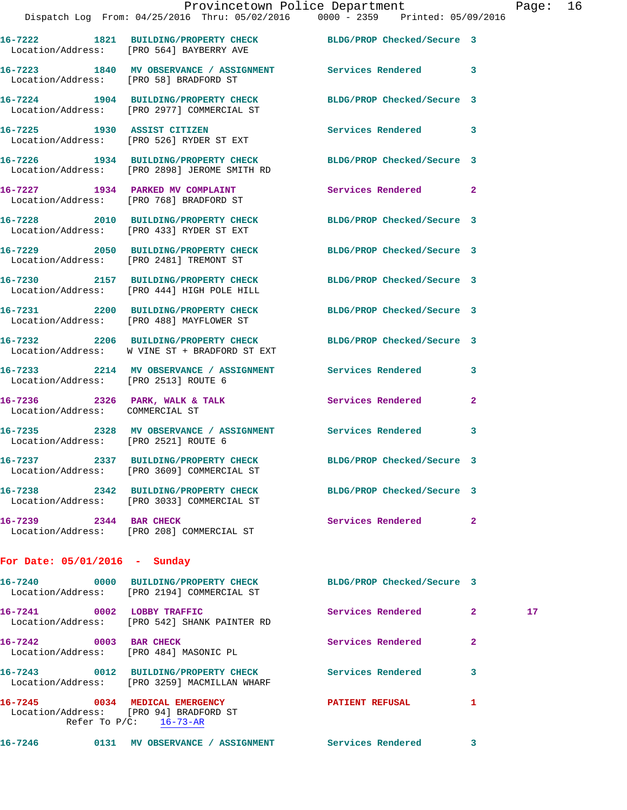|                                                 | 16-7222 1821 BUILDING/PROPERTY CHECK<br>Location/Address: [PRO 564] BAYBERRY AVE      | BLDG/PROP Checked/Secure 3 |                         |
|-------------------------------------------------|---------------------------------------------------------------------------------------|----------------------------|-------------------------|
|                                                 | 16-7223 1840 MV OBSERVANCE / ASSIGNMENT<br>Location/Address: [PRO 58] BRADFORD ST     | Services Rendered          | $\overline{\mathbf{3}}$ |
|                                                 | 16-7224 1904 BUILDING/PROPERTY CHECK<br>Location/Address: [PRO 2977] COMMERCIAL ST    | BLDG/PROP Checked/Secure 3 |                         |
| 16-7225 1930 ASSIST CITIZEN                     | Location/Address: [PRO 526] RYDER ST EXT                                              | Services Rendered 3        |                         |
| 16-7226                                         | 1934 BUILDING/PROPERTY CHECK<br>Location/Address: [PRO 2898] JEROME SMITH RD          | BLDG/PROP Checked/Secure 3 |                         |
| 16-7227                                         | 1934 PARKED MV COMPLAINT<br>Location/Address: [PRO 768] BRADFORD ST                   | Services Rendered          | $\sim$ 2                |
| 16-7228                                         | 2010 BUILDING/PROPERTY CHECK<br>Location/Address: [PRO 433] RYDER ST EXT              | BLDG/PROP Checked/Secure 3 |                         |
|                                                 | 16-7229 2050 BUILDING/PROPERTY CHECK<br>Location/Address: [PRO 2481] TREMONT ST       | BLDG/PROP Checked/Secure 3 |                         |
|                                                 | 16-7230 2157 BUILDING/PROPERTY CHECK<br>Location/Address: [PRO 444] HIGH POLE HILL    | BLDG/PROP Checked/Secure 3 |                         |
|                                                 | 16-7231 2200 BUILDING/PROPERTY CHECK<br>Location/Address: [PRO 488] MAYFLOWER ST      | BLDG/PROP Checked/Secure 3 |                         |
|                                                 | 16-7232 2206 BUILDING/PROPERTY CHECK<br>Location/Address: W VINE ST + BRADFORD ST EXT | BLDG/PROP Checked/Secure 3 |                         |
| Location/Address: [PRO 2513] ROUTE 6            | 16-7233 2214 MV OBSERVANCE / ASSIGNMENT Services Rendered                             |                            | 3                       |
| 16-7236<br>Location/Address: COMMERCIAL ST      | 2326 PARK, WALK & TALK                                                                | Services Rendered          | $\mathbf{2}$            |
| 16-7235<br>Location/Address: [PRO 2521] ROUTE 6 | 2328 MV OBSERVANCE / ASSIGNMENT                                                       | <b>Services Rendered</b>   | $\overline{\mathbf{3}}$ |
|                                                 | 16-7237 2337 BUILDING/PROPERTY CHECK<br>Location/Address: [PRO 3609] COMMERCIAL ST    | BLDG/PROP Checked/Secure 3 |                         |
|                                                 | 16-7238 2342 BUILDING/PROPERTY CHECK<br>Location/Address: [PRO 3033] COMMERCIAL ST    | BLDG/PROP Checked/Secure 3 |                         |
| 16-7239 2344 BAR CHECK                          | Location/Address: [PRO 208] COMMERCIAL ST                                             | Services Rendered 2        |                         |
|                                                 |                                                                                       |                            |                         |

## **For Date: 05/01/2016 - Sunday**

| 16-7240 0000                                              | <b>BUILDING/PROPERTY CHECK</b><br>Location/Address: [PRO 2194] COMMERCIAL ST | BLDG/PROP Checked/Secure 3 |                |    |
|-----------------------------------------------------------|------------------------------------------------------------------------------|----------------------------|----------------|----|
| 16-7241<br>0002                                           | LOBBY TRAFFIC<br>Location/Address: [PRO 542] SHANK PAINTER RD                | Services Rendered          | $\mathbf{2}$   | 17 |
| 16-7242<br>0003<br>Location/Address: [PRO 484] MASONIC PL | <b>BAR CHECK</b>                                                             | Services Rendered          | $\overline{2}$ |    |
| 0012<br>16-7243                                           | BUILDING/PROPERTY CHECK<br>Location/Address: [PRO 3259] MACMILLAN WHARF      | Services Rendered          | 3              |    |
| 16-7245<br>Location/Address: [PRO 94] BRADFORD ST         | 0034 MEDICAL EMERGENCY<br>Refer To $P/C:$ 16-73-AR                           | <b>PATIENT REFUSAL</b>     |                |    |
| 16-7246<br>0131                                           | MV OBSERVANCE / ASSIGNMENT                                                   | Services Rendered          | 3              |    |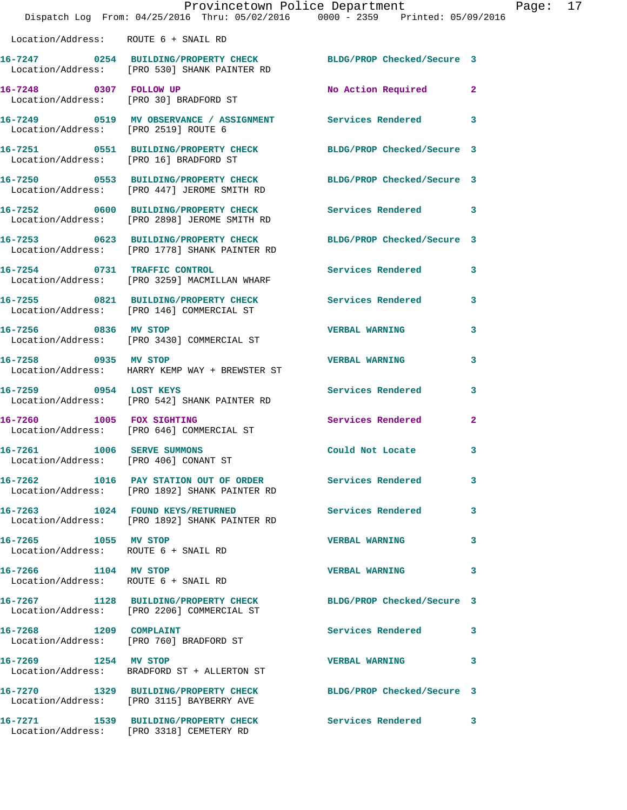|                                                                     | Provincetown Police Department<br>Dispatch Log From: 04/25/2016 Thru: 05/02/2016 0000 - 2359 Printed: 05/09/2016 |                            |                |
|---------------------------------------------------------------------|------------------------------------------------------------------------------------------------------------------|----------------------------|----------------|
| Location/Address: ROUTE 6 + SNAIL RD                                |                                                                                                                  |                            |                |
|                                                                     | 16-7247 0254 BUILDING/PROPERTY CHECK<br>Location/Address: [PRO 530] SHANK PAINTER RD                             | BLDG/PROP Checked/Secure 3 |                |
| 16-7248 0307 FOLLOW UP<br>Location/Address: [PRO 30] BRADFORD ST    |                                                                                                                  | No Action Required         | $\overline{2}$ |
| Location/Address: [PRO 2519] ROUTE 6                                | 16-7249 0519 MV OBSERVANCE / ASSIGNMENT Services Rendered                                                        |                            | 3              |
| Location/Address: [PRO 16] BRADFORD ST                              | 16-7251 0551 BUILDING/PROPERTY CHECK                                                                             | BLDG/PROP Checked/Secure 3 |                |
|                                                                     | 16-7250 0553 BUILDING/PROPERTY CHECK BLDG/PROP Checked/Secure 3<br>Location/Address: [PRO 447] JEROME SMITH RD   |                            |                |
|                                                                     | 16-7252 0600 BUILDING/PROPERTY CHECK<br>Location/Address: [PRO 2898] JEROME SMITH RD                             | <b>Services Rendered</b>   | 3              |
|                                                                     | 16-7253 0623 BUILDING/PROPERTY CHECK<br>Location/Address: [PRO 1778] SHANK PAINTER RD                            | BLDG/PROP Checked/Secure 3 |                |
|                                                                     | 16-7254 0731 TRAFFIC CONTROL<br>Location/Address: [PRO 3259] MACMILLAN WHARF                                     | Services Rendered          | 3              |
|                                                                     | 16-7255 0821 BUILDING/PROPERTY CHECK<br>Location/Address: [PRO 146] COMMERCIAL ST                                | <b>Services Rendered</b>   | 3              |
| 16-7256 0836 MV STOP                                                | Location/Address: [PRO 3430] COMMERCIAL ST                                                                       | <b>VERBAL WARNING</b>      | 3              |
| 16-7258 0935 MV STOP                                                | Location/Address: HARRY KEMP WAY + BREWSTER ST                                                                   | <b>VERBAL WARNING</b>      | 3              |
| 16-7259 0954 LOST KEYS                                              | Location/Address: [PRO 542] SHANK PAINTER RD                                                                     | Services Rendered          | 3              |
| 16-7260 1005 FOX SIGHTING                                           | Location/Address: [PRO 646] COMMERCIAL ST                                                                        | <b>Services Rendered</b>   | $\mathbf{2}$   |
| 16-7261 1006 SERVE SUMMONS<br>Location/Address: [PRO 406] CONANT ST |                                                                                                                  | Could Not Locate           | 3              |
|                                                                     | 16-7262 1016 PAY STATION OUT OF ORDER Services Rendered<br>Location/Address: [PRO 1892] SHANK PAINTER RD         |                            | 3              |
|                                                                     | 16-7263 1024 FOUND KEYS/RETURNED<br>Location/Address: [PRO 1892] SHANK PAINTER RD                                | <b>Services Rendered</b>   | 3              |
| 16-7265 1055 MV STOP<br>Location/Address: ROUTE 6 + SNAIL RD        |                                                                                                                  | <b>VERBAL WARNING</b>      | 3              |
| 16-7266 1104 MV STOP<br>Location/Address: ROUTE 6 + SNAIL RD        |                                                                                                                  | <b>VERBAL WARNING</b>      | 3              |
|                                                                     | 16-7267 1128 BUILDING/PROPERTY CHECK<br>Location/Address: [PRO 2206] COMMERCIAL ST                               | BLDG/PROP Checked/Secure 3 |                |
| 16-7268 1209 COMPLAINT                                              | Location/Address: [PRO 760] BRADFORD ST                                                                          | Services Rendered          | 3              |
| 16-7269 1254 MV STOP                                                | Location/Address: BRADFORD ST + ALLERTON ST                                                                      | <b>VERBAL WARNING</b>      | 3              |
|                                                                     | 16-7270 1329 BUILDING/PROPERTY CHECK<br>Location/Address: [PRO 3115] BAYBERRY AVE                                | BLDG/PROP Checked/Secure 3 |                |
|                                                                     | 16-7271 1539 BUILDING/PROPERTY CHECK<br>Location/Address: [PRO 3318] CEMETERY RD                                 | <b>Services Rendered</b>   | 3              |

Page: 17<br>6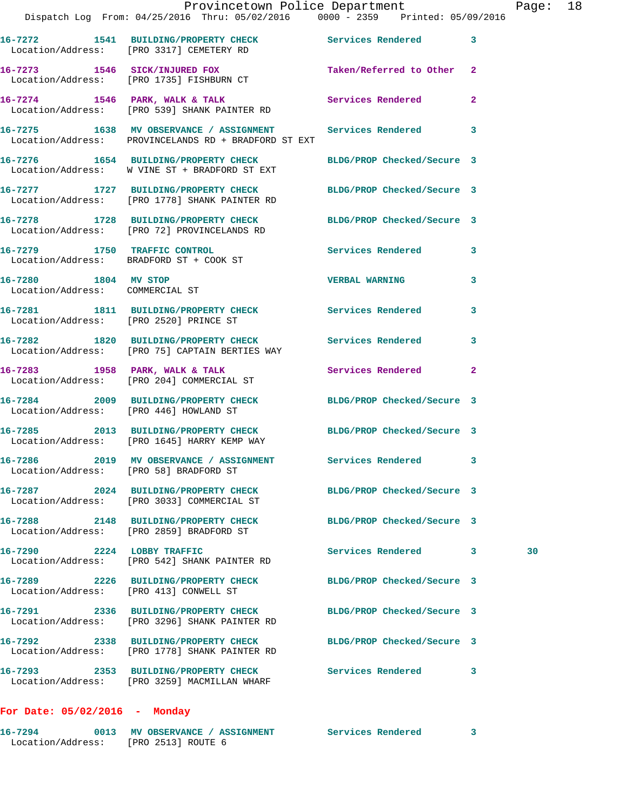|                                                   | Dispatch Log From: 04/25/2016 Thru: 05/02/2016 0000 - 2359 Printed: 05/09/2016                                      | Provincetown Police Department |    | Page: 18 |  |
|---------------------------------------------------|---------------------------------------------------------------------------------------------------------------------|--------------------------------|----|----------|--|
|                                                   |                                                                                                                     |                                |    |          |  |
|                                                   | 16-7272 1541 BUILDING/PROPERTY CHECK Services Rendered 3<br>Location/Address: [PRO 3317] CEMETERY RD                |                                |    |          |  |
|                                                   | 16-7273 1546 SICK/INJURED FOX Taken/Referred to Other 2<br>Location/Address: [PRO 1735] FISHBURN CT                 |                                |    |          |  |
|                                                   | 16-7274 1546 PARK, WALK & TALK 1999 Services Rendered<br>Location/Address: [PRO 539] SHANK PAINTER RD               |                                | -2 |          |  |
|                                                   | 16-7275 1638 MV OBSERVANCE / ASSIGNMENT Services Rendered 3<br>Location/Address: PROVINCELANDS RD + BRADFORD ST EXT |                                |    |          |  |
|                                                   | 16-7276 1654 BUILDING/PROPERTY CHECK<br>Location/Address: W VINE ST + BRADFORD ST EXT                               | BLDG/PROP Checked/Secure 3     |    |          |  |
|                                                   | 16-7277 1727 BUILDING/PROPERTY CHECK<br>Location/Address: [PRO 1778] SHANK PAINTER RD                               | BLDG/PROP Checked/Secure 3     |    |          |  |
|                                                   | 16-7278 1728 BUILDING/PROPERTY CHECK<br>Location/Address: [PRO 72] PROVINCELANDS RD                                 | BLDG/PROP Checked/Secure 3     |    |          |  |
|                                                   | 16-7279 1750 TRAFFIC CONTROL<br>Location/Address: BRADFORD ST + COOK ST                                             | Services Rendered              | 3  |          |  |
| 16-7280 1804 MV STOP                              | Location/Address: COMMERCIAL ST                                                                                     | <b>VERBAL WARNING</b>          | 3  |          |  |
| Location/Address: [PRO 2520] PRINCE ST            | 16-7281 1811 BUILDING/PROPERTY CHECK Services Rendered                                                              |                                | 3  |          |  |
|                                                   | 16-7282 1820 BUILDING/PROPERTY CHECK Services Rendered 3<br>Location/Address: [PRO 75] CAPTAIN BERTIES WAY          |                                |    |          |  |
|                                                   | 16-7283 1958 PARK, WALK & TALK 1988 Services Rendered<br>Location/Address: [PRO 204] COMMERCIAL ST                  |                                | -2 |          |  |
| Location/Address: [PRO 446] HOWLAND ST            | 16-7284 2009 BUILDING/PROPERTY CHECK BLDG/PROP Checked/Secure 3                                                     |                                |    |          |  |
|                                                   | 16-7285 2013 BUILDING/PROPERTY CHECK BLDG/PROP Checked/Secure 3<br>Location/Address: [PRO 1645] HARRY KEMP WAY      |                                |    |          |  |
| 16-7286<br>Location/Address: [PRO 58] BRADFORD ST | 2019 MV OBSERVANCE / ASSIGNMENT                                                                                     | Services Rendered 3            |    |          |  |
|                                                   | 16-7287 2024 BUILDING/PROPERTY CHECK BLDG/PROP Checked/Secure 3<br>Location/Address: [PRO 3033] COMMERCIAL ST       |                                |    |          |  |
|                                                   | 16-7288 2148 BUILDING/PROPERTY CHECK<br>Location/Address: [PRO 2859] BRADFORD ST                                    | BLDG/PROP Checked/Secure 3     |    |          |  |
|                                                   | 16-7290 2224 LOBBY TRAFFIC<br>Location/Address: [PRO 542] SHANK PAINTER RD                                          | Services Rendered 3            |    | 30       |  |
| Location/Address: [PRO 413] CONWELL ST            | 16-7289 2226 BUILDING/PROPERTY CHECK                                                                                | BLDG/PROP Checked/Secure 3     |    |          |  |
|                                                   | 16-7291 2336 BUILDING/PROPERTY CHECK BLDG/PROP Checked/Secure 3<br>Location/Address: [PRO 3296] SHANK PAINTER RD    |                                |    |          |  |
|                                                   | 16-7292 2338 BUILDING/PROPERTY CHECK BLDG/PROP Checked/Secure 3<br>Location/Address: [PRO 1778] SHANK PAINTER RD    |                                |    |          |  |
|                                                   | 16-7293 2353 BUILDING/PROPERTY CHECK Services Rendered<br>Location/Address: [PRO 3259] MACMILLAN WHARF              |                                | 3  |          |  |
|                                                   |                                                                                                                     |                                |    |          |  |

## **For Date: 05/02/2016 - Monday**

| 16-7294           | 0013 MV OBSERVANCE / ASSIGNMENT | Services Rendered |  |
|-------------------|---------------------------------|-------------------|--|
| Location/Address: | FRO 25131 ROUTE 6               |                   |  |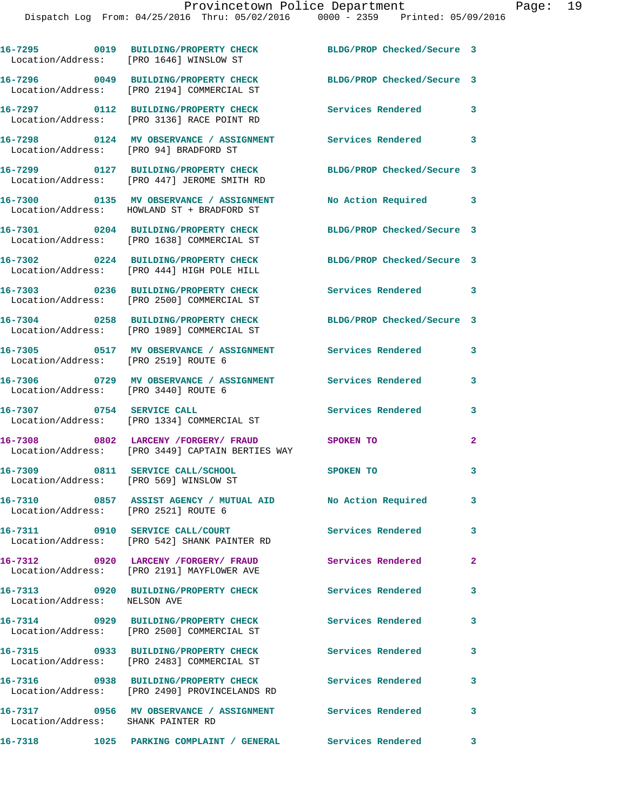|                                        | 16-7295 0019 BUILDING/PROPERTY CHECK<br>Location/Address: [PRO 1646] WINSLOW ST                            | BLDG/PROP Checked/Secure 3 |                         |
|----------------------------------------|------------------------------------------------------------------------------------------------------------|----------------------------|-------------------------|
|                                        | 16-7296 0049 BUILDING/PROPERTY CHECK<br>Location/Address: [PRO 2194] COMMERCIAL ST                         | BLDG/PROP Checked/Secure 3 |                         |
|                                        | 16-7297 0112 BUILDING/PROPERTY CHECK<br>Location/Address: [PRO 3136] RACE POINT RD                         | <b>Services Rendered</b> 3 |                         |
| Location/Address: [PRO 94] BRADFORD ST | 16-7298 0124 MV OBSERVANCE / ASSIGNMENT Services Rendered 3                                                |                            |                         |
|                                        | 16-7299 0127 BUILDING/PROPERTY CHECK<br>Location/Address: [PRO 447] JEROME SMITH RD                        | BLDG/PROP Checked/Secure 3 |                         |
|                                        | 16-7300 0135 MV OBSERVANCE / ASSIGNMENT No Action Required 3<br>Location/Address: HOWLAND ST + BRADFORD ST |                            |                         |
|                                        | 16-7301 0204 BUILDING/PROPERTY CHECK<br>Location/Address: [PRO 1638] COMMERCIAL ST                         | BLDG/PROP Checked/Secure 3 |                         |
|                                        | 16-7302 0224 BUILDING/PROPERTY CHECK<br>Location/Address: [PRO 444] HIGH POLE HILL                         | BLDG/PROP Checked/Secure 3 |                         |
|                                        | 16-7303 0236 BUILDING/PROPERTY CHECK<br>Location/Address: [PRO 2500] COMMERCIAL ST                         | Services Rendered 3        |                         |
|                                        | 16-7304 0258 BUILDING/PROPERTY CHECK<br>Location/Address: [PRO 1989] COMMERCIAL ST                         | BLDG/PROP Checked/Secure 3 |                         |
| Location/Address: [PRO 2519] ROUTE 6   | 16-7305 0517 MV OBSERVANCE / ASSIGNMENT Services Rendered                                                  |                            | 3                       |
| Location/Address: [PRO 3440] ROUTE 6   | 16-7306 0729 MV OBSERVANCE / ASSIGNMENT Services Rendered                                                  |                            | 3                       |
|                                        | 16-7307 0754 SERVICE CALL<br>Location/Address: [PRO 1334] COMMERCIAL ST                                    | <b>Services Rendered</b>   | 3                       |
|                                        | 16-7308 0802 LARCENY /FORGERY/ FRAUD<br>Location/Address: [PRO 3449] CAPTAIN BERTIES WAY                   | SPOKEN TO                  | $\mathbf{2}$            |
| Location/Address: [PRO 569] WINSLOW ST | 16-7309 0811 SERVICE CALL/SCHOOL                                                                           | <b>SPOKEN TO</b>           | 3                       |
| Location/Address: [PRO 2521] ROUTE 6   | 16-7310 0857 ASSIST AGENCY / MUTUAL AID No Action Required                                                 |                            | 3 <sup>7</sup>          |
|                                        | 16-7311 0910 SERVICE CALL/COURT<br>Location/Address: [PRO 542] SHANK PAINTER RD                            | <b>Services Rendered</b>   | 3                       |
|                                        | 16-7312 0920 LARCENY /FORGERY/ FRAUD Services Rendered<br>Location/Address: [PRO 2191] MAYFLOWER AVE       |                            | $\mathbf{2}$            |
| Location/Address: NELSON AVE           | 16-7313 0920 BUILDING/PROPERTY CHECK                                                                       | Services Rendered          | 3                       |
|                                        | 16-7314 0929 BUILDING/PROPERTY CHECK<br>Location/Address: [PRO 2500] COMMERCIAL ST                         | Services Rendered          | 3                       |
|                                        | 16-7315 0933 BUILDING/PROPERTY CHECK<br>Location/Address: [PRO 2483] COMMERCIAL ST                         | <b>Services Rendered</b>   | 3                       |
|                                        | 16-7316 0938 BUILDING/PROPERTY CHECK<br>Location/Address: [PRO 2490] PROVINCELANDS RD                      | <b>Services Rendered</b>   | $\overline{\mathbf{3}}$ |
| Location/Address: SHANK PAINTER RD     | 16-7317 0956 MV OBSERVANCE / ASSIGNMENT Services Rendered                                                  |                            | $\mathbf{3}$            |
|                                        | 16-7318 1025 PARKING COMPLAINT / GENERAL Services Rendered 3                                               |                            |                         |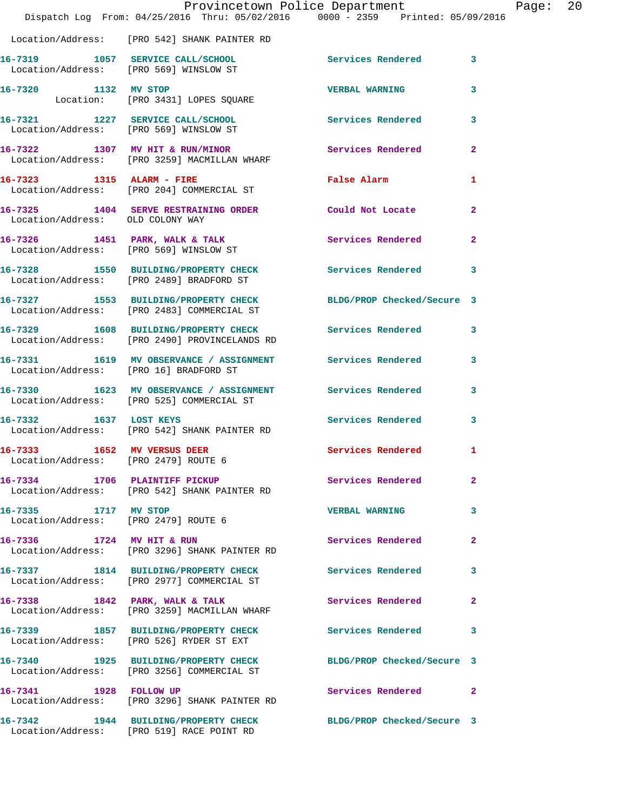|                                                                     | Provincetown Police Department<br>Dispatch Log From: 04/25/2016 Thru: 05/02/2016 0000 - 2359 Printed: 05/09/2016 |                            |              |
|---------------------------------------------------------------------|------------------------------------------------------------------------------------------------------------------|----------------------------|--------------|
|                                                                     | Location/Address: [PRO 542] SHANK PAINTER RD                                                                     |                            |              |
|                                                                     | 16-7319 1057 SERVICE CALL/SCHOOL<br>Location/Address: [PRO 569] WINSLOW ST                                       | Services Rendered 3        |              |
| 16-7320 1132 MV STOP                                                | Location: [PRO 3431] LOPES SQUARE                                                                                | <b>VERBAL WARNING</b>      | 3            |
|                                                                     | 16-7321 1227 SERVICE CALL/SCHOOL<br>Location/Address: [PRO 569] WINSLOW ST                                       | Services Rendered          | 3            |
|                                                                     | 16-7322 1307 MV HIT & RUN/MINOR<br>Location/Address: [PRO 3259] MACMILLAN WHARF                                  | <b>Services Rendered</b>   | $\mathbf{2}$ |
|                                                                     | 16-7323 1315 ALARM - FIRE<br>Location/Address: [PRO 204] COMMERCIAL ST                                           | False Alarm                | 1            |
| Location/Address: OLD COLONY WAY                                    | 16-7325 1404 SERVE RESTRAINING ORDER Could Not Locate                                                            |                            | $\mathbf{2}$ |
|                                                                     | 16-7326 1451 PARK, WALK & TALK<br>Location/Address: [PRO 569] WINSLOW ST                                         | Services Rendered          | $\mathbf{2}$ |
|                                                                     | 16-7328 1550 BUILDING/PROPERTY CHECK<br>Location/Address: [PRO 2489] BRADFORD ST                                 | Services Rendered          | 3            |
|                                                                     | 16-7327 1553 BUILDING/PROPERTY CHECK BLDG/PROP Checked/Secure 3<br>Location/Address: [PRO 2483] COMMERCIAL ST    |                            |              |
|                                                                     | 16-7329 1608 BUILDING/PROPERTY CHECK<br>Location/Address: [PRO 2490] PROVINCELANDS RD                            | <b>Services Rendered</b>   | 3            |
| Location/Address: [PRO 16] BRADFORD ST                              | 16-7331 1619 MV OBSERVANCE / ASSIGNMENT Services Rendered                                                        |                            | 3            |
|                                                                     | 16-7330 1623 MV OBSERVANCE / ASSIGNMENT Services Rendered<br>Location/Address: [PRO 525] COMMERCIAL ST           |                            | 3            |
| 16-7332 1637 LOST KEYS                                              | Location/Address: [PRO 542] SHANK PAINTER RD                                                                     | <b>Services Rendered</b>   | 3            |
| 16-7333 1652 MV VERSUS DEER<br>Location/Address: [PRO 2479] ROUTE 6 |                                                                                                                  | Services Rendered 1        |              |
|                                                                     | 16-7334 1706 PLAINTIFF PICKUP<br>Location/Address: [PRO 542] SHANK PAINTER RD                                    | Services Rendered          | $\mathbf{2}$ |
| 16-7335 1717 MV STOP<br>Location/Address: [PRO 2479] ROUTE 6        |                                                                                                                  | <b>VERBAL WARNING</b>      | 3            |
| 16-7336 1724 MV HIT & RUN                                           | Location/Address: [PRO 3296] SHANK PAINTER RD                                                                    | Services Rendered          | $\mathbf{2}$ |
|                                                                     | 16-7337 1814 BUILDING/PROPERTY CHECK<br>Location/Address: [PRO 2977] COMMERCIAL ST                               | Services Rendered          | 3            |
|                                                                     | 16-7338 1842 PARK, WALK & TALK<br>Location/Address: [PRO 3259] MACMILLAN WHARF                                   | Services Rendered          | $\mathbf{2}$ |
|                                                                     |                                                                                                                  | Services Rendered          | 3            |
|                                                                     | 16-7340 1925 BUILDING/PROPERTY CHECK<br>Location/Address: [PRO 3256] COMMERCIAL ST                               | BLDG/PROP Checked/Secure 3 |              |
| 16-7341 1928 FOLLOW UP                                              | Location/Address: [PRO 3296] SHANK PAINTER RD                                                                    | Services Rendered 2        |              |
|                                                                     | 16-7342 1944 BUILDING/PROPERTY CHECK<br>Location/Address: [PRO 519] RACE POINT RD                                | BLDG/PROP Checked/Secure 3 |              |

Page: 20